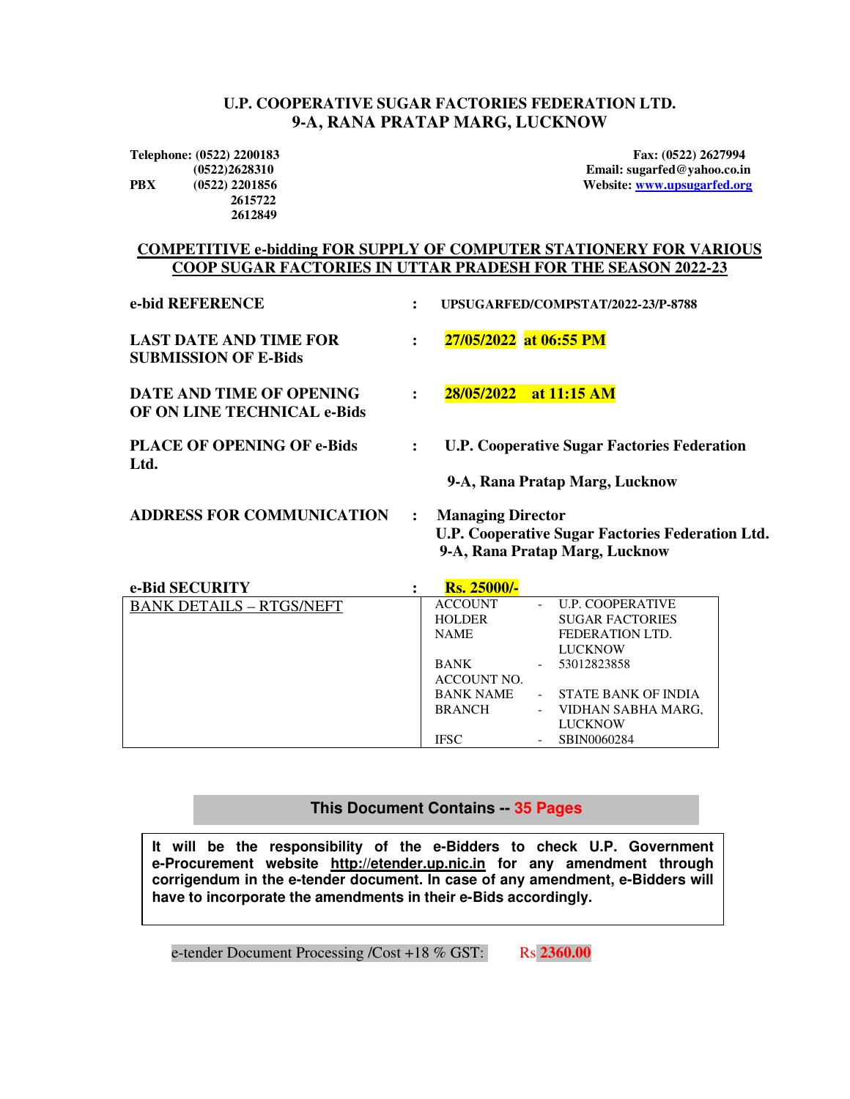#### **U.P. COOPERATIVE SUGAR FACTORIES FEDERATION LTD. 9-A, RANA PRATAP MARG, LUCKNOW**

 **2615722 2612849**

**Telephone: (0522) 2200183 Fax: (0522) 2627994 (0522)2628310 Email: sugarfed@yahoo.co.in PBX (0522) 2201856 Website: www.upsugarfed.org**

#### **COMPETITIVE e-bidding FOR SUPPLY OF COMPUTER STATIONERY FOR VARIOUS COOP SUGAR FACTORIES IN UTTAR PRADESH FOR THE SEASON 2022-23**

| e-bid REFERENCE                                                |                      | UPSUGARFED/COMPSTAT/2022-23/P-8788                                                                                                           |
|----------------------------------------------------------------|----------------------|----------------------------------------------------------------------------------------------------------------------------------------------|
| <b>LAST DATE AND TIME FOR</b><br><b>SUBMISSION OF E-Bids</b>   | $\ddot{\phantom{a}}$ | 27/05/2022 at 06:55 PM                                                                                                                       |
| DATE AND TIME OF OPENING<br><b>OF ON LINE TECHNICAL e-Bids</b> |                      | 28/05/2022 at 11:15 AM                                                                                                                       |
| <b>PLACE OF OPENING OF e-Bids</b><br>Ltd.                      | $\ddot{\cdot}$       | <b>U.P. Cooperative Sugar Factories Federation</b>                                                                                           |
| <b>ADDRESS FOR COMMUNICATION</b>                               | $\ddot{\phantom{a}}$ | 9-A, Rana Pratap Marg, Lucknow<br><b>Managing Director</b>                                                                                   |
|                                                                |                      | $\mathbf{H} \mathbf{D} \cdot \mathbf{C}$ . $\mathbf{C} \cdot \mathbf{D} \cdot \mathbf{A} \cdot \mathbf{D} \cdot \mathbf{D} \cdot \mathbf{A}$ |

| ADDINESS FON COMMONICATION | <b>Managing Director</b>                         |
|----------------------------|--------------------------------------------------|
|                            | U.P. Cooperative Sugar Factories Federation Ltd. |
|                            | 9-A, Rana Pratap Marg, Lucknow                   |
|                            |                                                  |

| e-Bid SECURITY                  | <b>Rs. 25000/-</b> |                            |
|---------------------------------|--------------------|----------------------------|
| <b>BANK DETAILS - RTGS/NEFT</b> | <b>ACCOUNT</b>     | <b>U.P. COOPERATIVE</b>    |
|                                 | <b>HOLDER</b>      | <b>SUGAR FACTORIES</b>     |
|                                 | <b>NAME</b>        | FEDERATION LTD.            |
|                                 |                    | <b>LUCKNOW</b>             |
|                                 | <b>BANK</b>        | 53012823858                |
|                                 | ACCOUNT NO.        |                            |
|                                 | <b>BANK NAME</b>   | <b>STATE BANK OF INDIA</b> |
|                                 | <b>BRANCH</b>      | VIDHAN SABHA MARG.         |
|                                 |                    | <b>LUCKNOW</b>             |
|                                 | <b>IFSC</b>        | SBIN0060284                |

#### i **This Document Contains -- 35 Pages**

**It will be the responsibility of the e-Bidders to check U.P. Government e-Procurement website http://etender.up.nic.in for any amendment through corrigendum in the e-tender document. In case of any amendment, e-Bidders will have to incorporate the amendments in their e-Bids accordingly.** 

e-tender Document Processing /Cost +18 % GST: Rs 2360.00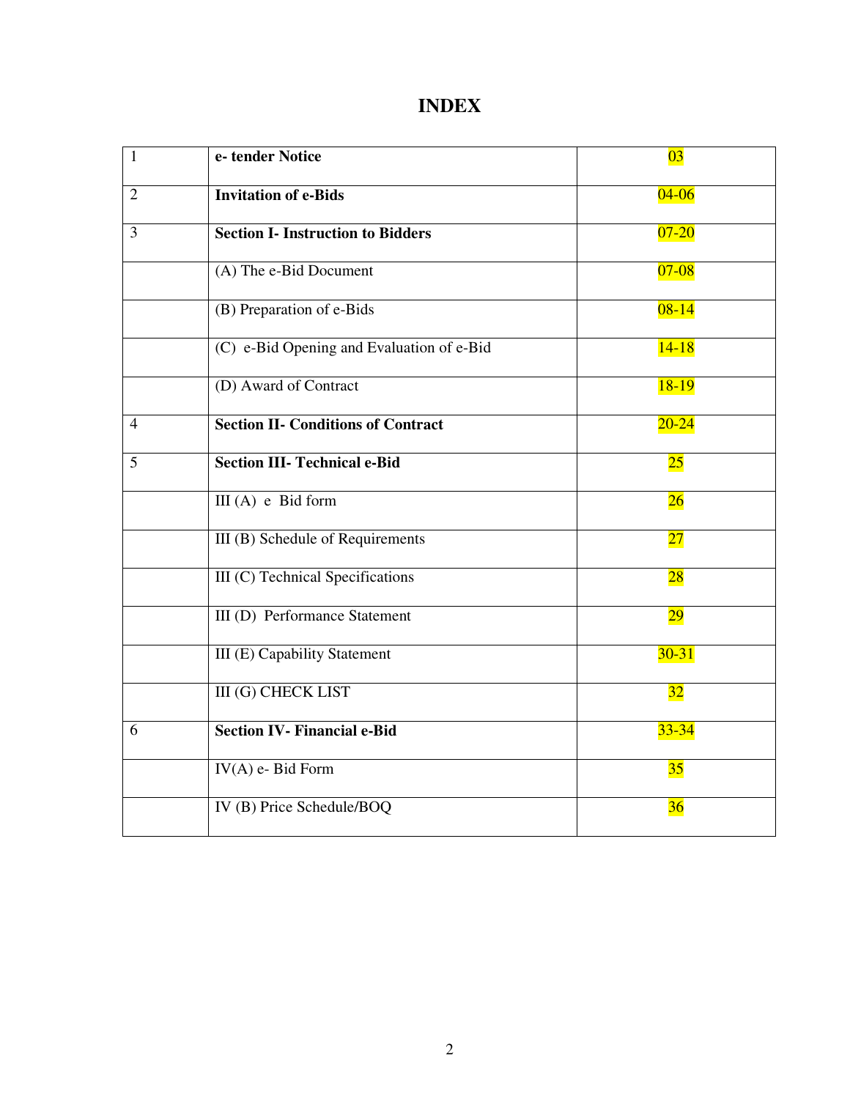# **INDEX**

| $\mathbf{1}$   | e-tender Notice                           | $\overline{03}$ |
|----------------|-------------------------------------------|-----------------|
| $\overline{2}$ | <b>Invitation of e-Bids</b>               | $04 - 06$       |
| $\overline{3}$ | <b>Section I- Instruction to Bidders</b>  | $07 - 20$       |
|                | (A) The e-Bid Document                    | $07 - 08$       |
|                | (B) Preparation of e-Bids                 | $08 - 14$       |
|                | (C) e-Bid Opening and Evaluation of e-Bid | $14 - 18$       |
|                | (D) Award of Contract                     | $18-19$         |
| $\overline{4}$ | <b>Section II- Conditions of Contract</b> | $20 - 24$       |
| 5              | <b>Section III- Technical e-Bid</b>       | $25\,$          |
|                | $III(A)$ e Bid form                       | 26              |
|                | III (B) Schedule of Requirements          | 27              |
|                | III (C) Technical Specifications          | 28              |
|                | <b>III</b> (D) Performance Statement      | <b>29</b>       |
|                | <b>III</b> (E) Capability Statement       | $30 - 31$       |
|                | <b>III</b> (G) CHECK LIST                 | 32              |
| 6              | <b>Section IV- Financial e-Bid</b>        | $33 - 34$       |
|                | $IV(A)$ e- Bid Form                       | 35              |
|                | IV (B) Price Schedule/BOQ                 | 36              |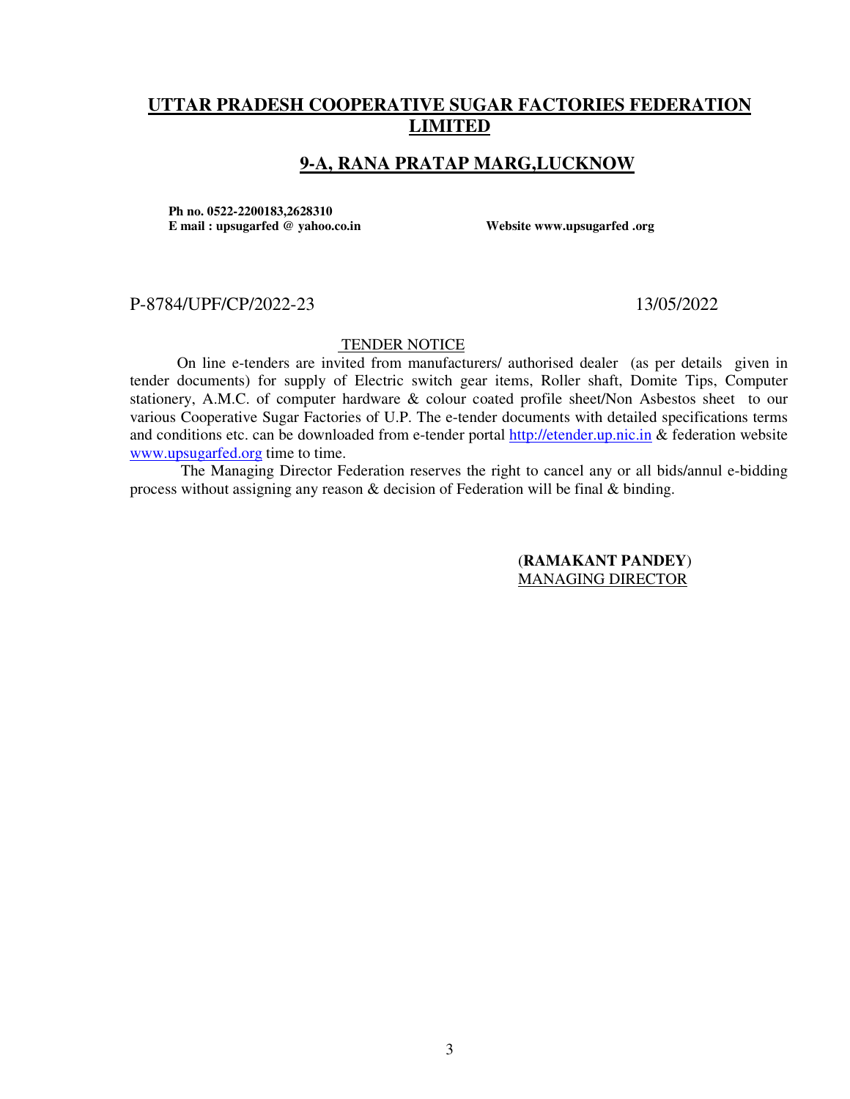# **UTTAR PRADESH COOPERATIVE SUGAR FACTORIES FEDERATION LIMITED**

## **9-A, RANA PRATAP MARG,LUCKNOW**

**Ph no. 0522-2200183,2628310 E mail : upsugarfed @ yahoo.co.in Website www.upsugarfed .org** 

#### P-8784/UPF/CP/2022-23 13/05/2022

#### TENDER NOTICE

On line e-tenders are invited from manufacturers/ authorised dealer (as per details given in tender documents) for supply of Electric switch gear items, Roller shaft, Domite Tips, Computer stationery, A.M.C. of computer hardware & colour coated profile sheet/Non Asbestos sheet to our various Cooperative Sugar Factories of U.P. The e-tender documents with detailed specifications terms and conditions etc. can be downloaded from e-tender portal http://etender.up.nic.in & federation website www.upsugarfed.org time to time.

 The Managing Director Federation reserves the right to cancel any or all bids/annul e-bidding process without assigning any reason & decision of Federation will be final & binding.

> (**RAMAKANT PANDEY**) MANAGING DIRECTOR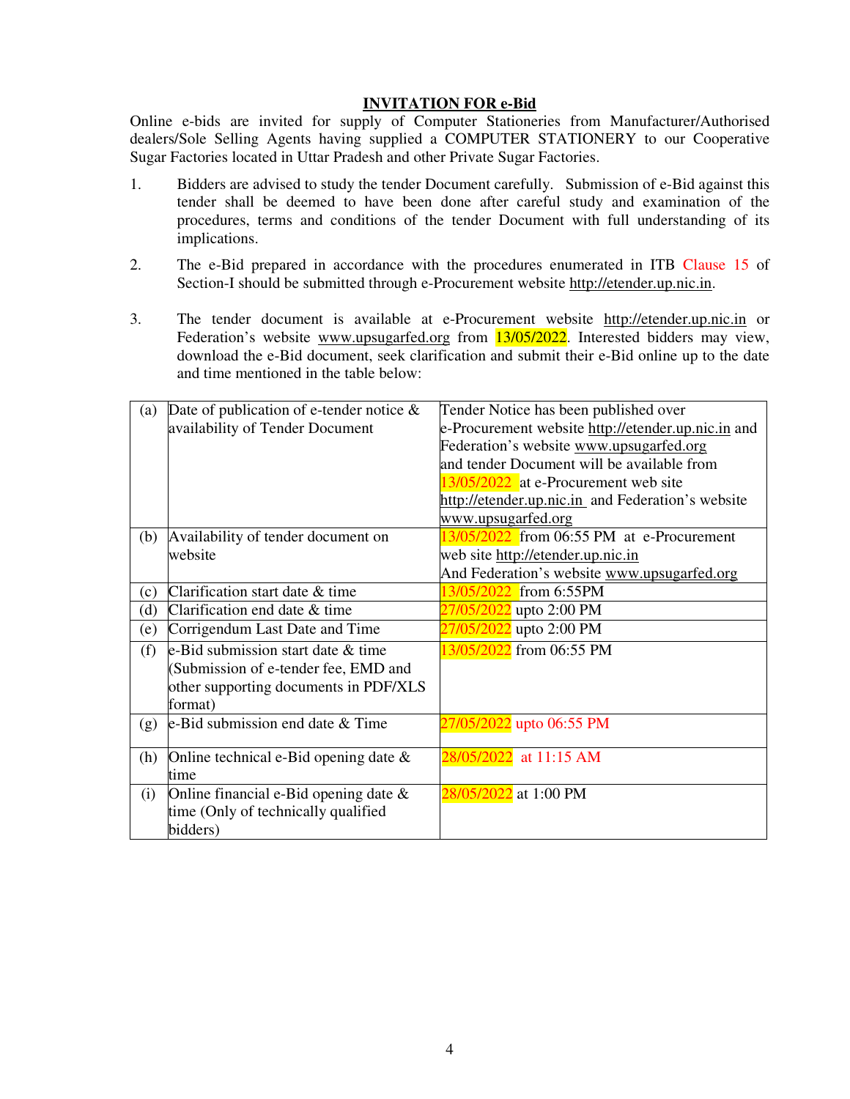#### **INVITATION FOR e-Bid**

Online e-bids are invited for supply of Computer Stationeries from Manufacturer/Authorised dealers/Sole Selling Agents having supplied a COMPUTER STATIONERY to our Cooperative Sugar Factories located in Uttar Pradesh and other Private Sugar Factories.

- 1. Bidders are advised to study the tender Document carefully. Submission of e-Bid against this tender shall be deemed to have been done after careful study and examination of the procedures, terms and conditions of the tender Document with full understanding of its implications.
- 2. The e-Bid prepared in accordance with the procedures enumerated in ITB Clause 15 of Section-I should be submitted through e-Procurement website http://etender.up.nic.in.
- 3. The tender document is available at e-Procurement website http://etender.up.nic.in or Federation's website www.upsugarfed.org from 13/05/2022. Interested bidders may view, download the e-Bid document, seek clarification and submit their e-Bid online up to the date and time mentioned in the table below:

| (a) | Date of publication of e-tender notice $\&$ | Tender Notice has been published over              |
|-----|---------------------------------------------|----------------------------------------------------|
|     | availability of Tender Document             | e-Procurement website http://etender.up.nic.in and |
|     |                                             | Federation's website www.upsugarfed.org            |
|     |                                             | and tender Document will be available from         |
|     |                                             | 13/05/2022 at e-Procurement web site               |
|     |                                             | http://etender.up.nic.in and Federation's website  |
|     |                                             | www.upsugarfed.org                                 |
| (b) | Availability of tender document on          | 13/05/2022 from 06:55 PM at e-Procurement          |
|     | website                                     | web site http://etender.up.nic.in                  |
|     |                                             | And Federation's website www.upsugarfed.org        |
| (c) | Clarification start date & time             | 13/05/2022 from 6:55PM                             |
| (d) | Clarification end date & time               | 27/05/2022 upto 2:00 PM                            |
| (e) | Corrigendum Last Date and Time              | 27/05/2022 upto 2:00 PM                            |
| (f) | e-Bid submission start date & time          | 13/05/2022 from 06:55 PM                           |
|     | (Submission of e-tender fee, EMD and        |                                                    |
|     | other supporting documents in PDF/XLS       |                                                    |
|     | format)                                     |                                                    |
| (g) | e-Bid submission end date & Time            | 27/05/2022 upto 06:55 PM                           |
| (h) | Online technical e-Bid opening date $\&$    | 28/05/2022 at 11:15 AM                             |
|     | time                                        |                                                    |
| (i) | Online financial e-Bid opening date $\&$    | 28/05/2022 at 1:00 PM                              |
|     | time (Only of technically qualified         |                                                    |
|     | bidders)                                    |                                                    |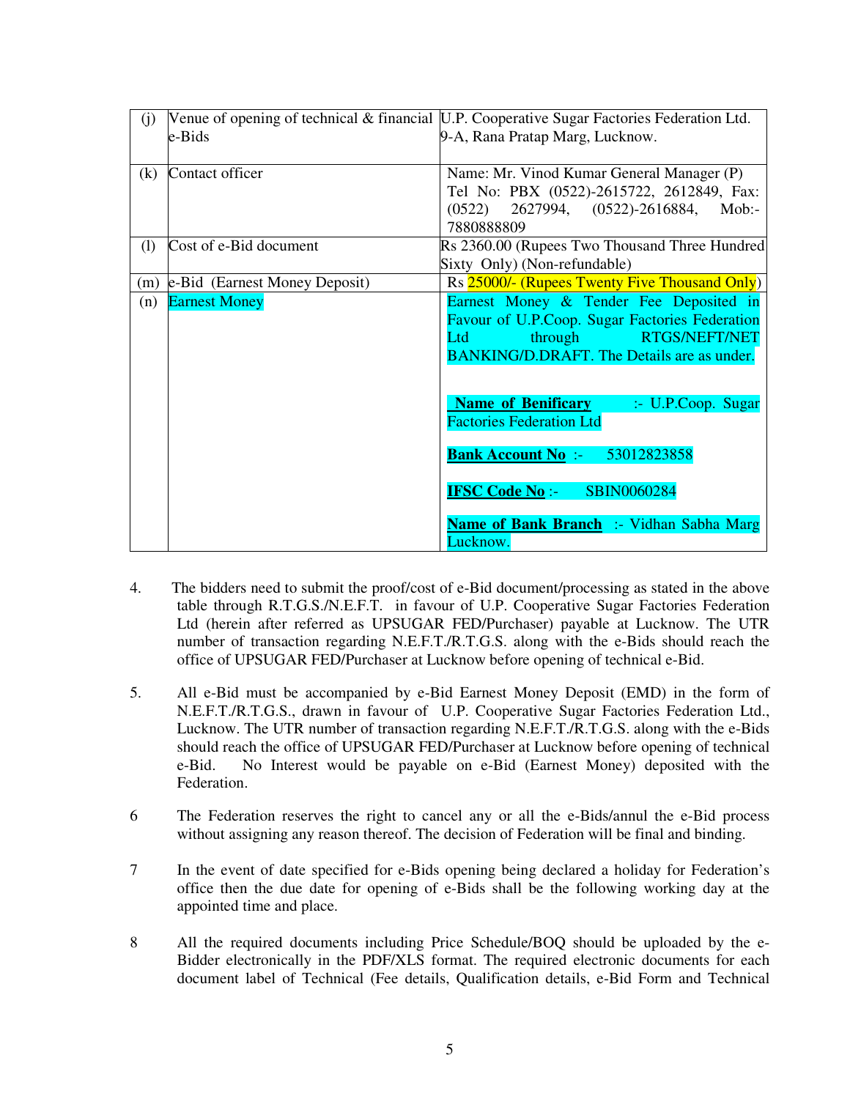| (j) |                               | Venue of opening of technical & financial U.P. Cooperative Sugar Factories Federation Ltd.                                                                              |
|-----|-------------------------------|-------------------------------------------------------------------------------------------------------------------------------------------------------------------------|
|     | e-Bids                        | 9-A, Rana Pratap Marg, Lucknow.                                                                                                                                         |
| (k) | Contact officer               | Name: Mr. Vinod Kumar General Manager (P)<br>Tel No: PBX (0522)-2615722, 2612849, Fax:<br>$(0522)$ 2627994, $(0522)$ -2616884, Mob:-                                    |
|     |                               | 7880888809                                                                                                                                                              |
| (1) | Cost of e-Bid document        | Rs 2360.00 (Rupees Two Thousand Three Hundred<br>Sixty Only) (Non-refundable)                                                                                           |
| (m) | e-Bid (Earnest Money Deposit) | Rs 25000/- (Rupees Twenty Five Thousand Only)                                                                                                                           |
| (n) | <b>Earnest Money</b>          | Earnest Money & Tender Fee Deposited in<br>Favour of U.P.Coop. Sugar Factories Federation<br>through RTGS/NEFT/NET<br>Ltd<br>BANKING/D.DRAFT. The Details are as under. |
|     |                               | <b>Name of Benificary</b><br>$\therefore$ U.P.Coop. Sugar<br><b>Factories Federation Ltd</b>                                                                            |
|     |                               | <b>Bank Account No :-</b><br>53012823858                                                                                                                                |
|     |                               | <b>IFSC Code No:-</b><br><b>SBIN0060284</b>                                                                                                                             |
|     |                               | Name of Bank Branch :- Vidhan Sabha Marg<br>Lucknow.                                                                                                                    |

- 4. The bidders need to submit the proof/cost of e-Bid document/processing as stated in the above table through R.T.G.S./N.E.F.T. in favour of U.P. Cooperative Sugar Factories Federation Ltd (herein after referred as UPSUGAR FED/Purchaser) payable at Lucknow. The UTR number of transaction regarding N.E.F.T./R.T.G.S. along with the e-Bids should reach the office of UPSUGAR FED/Purchaser at Lucknow before opening of technical e-Bid.
- 5. All e-Bid must be accompanied by e-Bid Earnest Money Deposit (EMD) in the form of N.E.F.T./R.T.G.S., drawn in favour of U.P. Cooperative Sugar Factories Federation Ltd., Lucknow. The UTR number of transaction regarding N.E.F.T./R.T.G.S. along with the e-Bids should reach the office of UPSUGAR FED/Purchaser at Lucknow before opening of technical e-Bid. No Interest would be payable on e-Bid (Earnest Money) deposited with the Federation.
- 6 The Federation reserves the right to cancel any or all the e-Bids/annul the e-Bid process without assigning any reason thereof. The decision of Federation will be final and binding.
- 7 In the event of date specified for e-Bids opening being declared a holiday for Federation's office then the due date for opening of e-Bids shall be the following working day at the appointed time and place.
- 8 All the required documents including Price Schedule/BOQ should be uploaded by the e-Bidder electronically in the PDF/XLS format. The required electronic documents for each document label of Technical (Fee details, Qualification details, e-Bid Form and Technical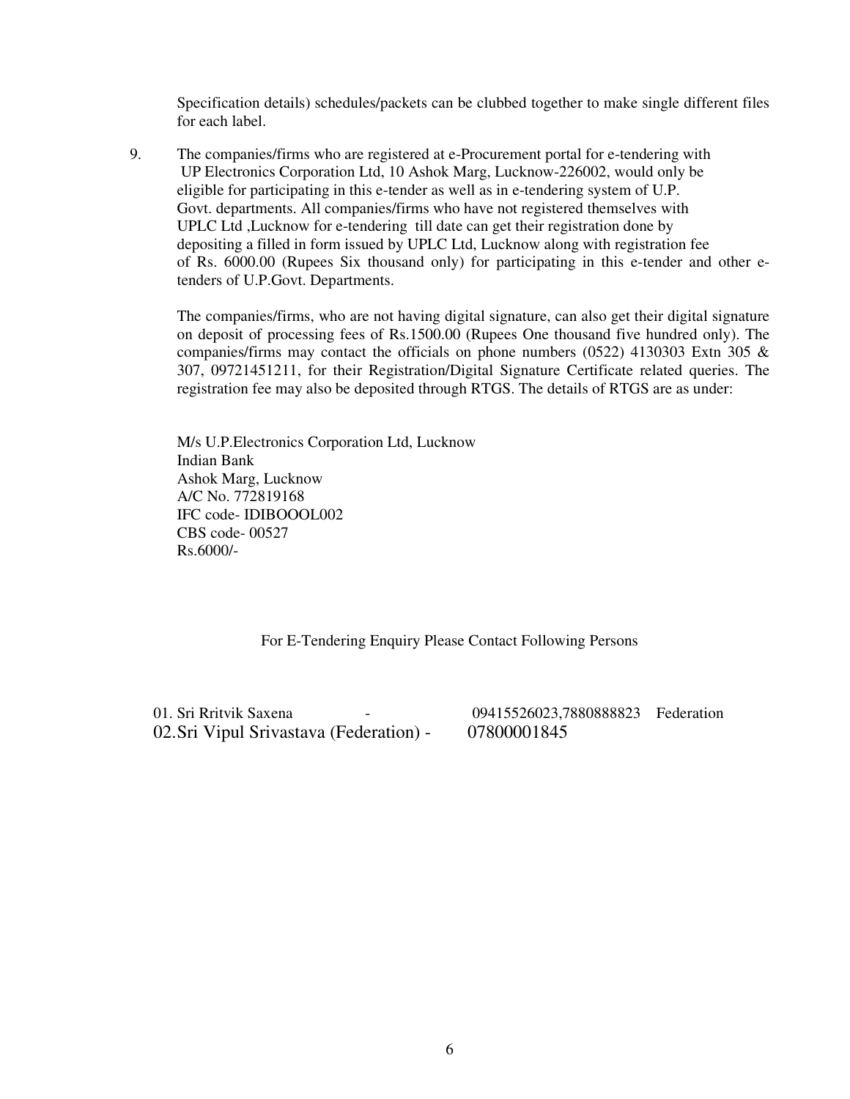Specification details) schedules/packets can be clubbed together to make single different files for each label.

9. The companies/firms who are registered at e-Procurement portal for e-tendering with UP Electronics Corporation Ltd, 10 Ashok Marg, Lucknow-226002, would only be eligible for participating in this e-tender as well as in e-tendering system of U.P. Govt. departments. All companies/firms who have not registered themselves with UPLC Ltd ,Lucknow for e-tendering till date can get their registration done by depositing a filled in form issued by UPLC Ltd, Lucknow along with registration fee of Rs. 6000.00 (Rupees Six thousand only) for participating in this e-tender and other etenders of U.P.Govt. Departments.

The companies/firms, who are not having digital signature, can also get their digital signature on deposit of processing fees of Rs.1500.00 (Rupees One thousand five hundred only). The companies/firms may contact the officials on phone numbers (0522) 4130303 Extn 305 & 307, 09721451211, for their Registration/Digital Signature Certificate related queries. The registration fee may also be deposited through RTGS. The details of RTGS are as under:

M/s U.P.Electronics Corporation Ltd, Lucknow Indian Bank Ashok Marg, Lucknow A/C No. 772819168 IFC code- IDIBOOOL002 CBS code- 00527 Rs.6000/-

For E-Tendering Enquiry Please Contact Following Persons

01. Sri Rritvik Saxena - 09415526023,7880888823 Federation 02.Sri Vipul Srivastava (Federation) - 07800001845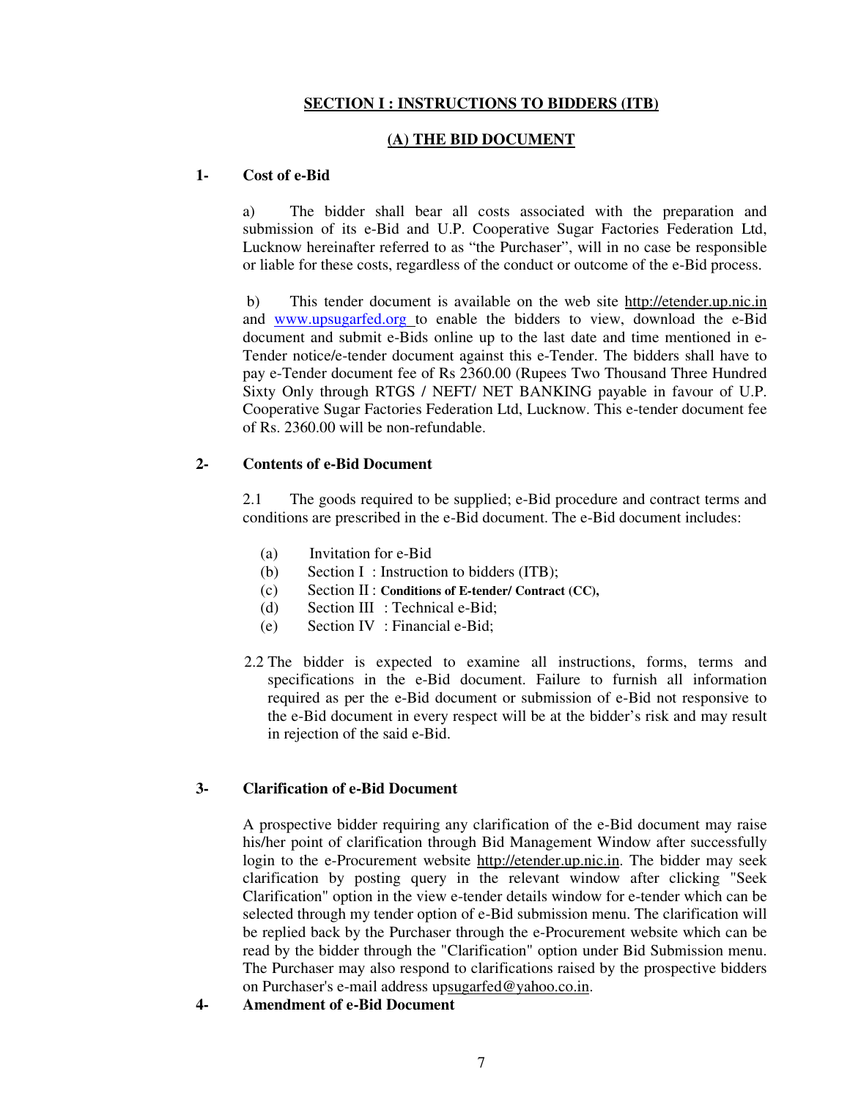#### **SECTION I : INSTRUCTIONS TO BIDDERS (ITB)**

#### **(A) THE BID DOCUMENT**

#### **1- Cost of e-Bid**

a) The bidder shall bear all costs associated with the preparation and submission of its e-Bid and U.P. Cooperative Sugar Factories Federation Ltd, Lucknow hereinafter referred to as "the Purchaser", will in no case be responsible or liable for these costs, regardless of the conduct or outcome of the e-Bid process.

 b) This tender document is available on the web site http://etender.up.nic.in and www.upsugarfed.org to enable the bidders to view, download the e-Bid document and submit e-Bids online up to the last date and time mentioned in e-Tender notice/e-tender document against this e-Tender. The bidders shall have to pay e-Tender document fee of Rs 2360.00 (Rupees Two Thousand Three Hundred Sixty Only through RTGS / NEFT/ NET BANKING payable in favour of U.P. Cooperative Sugar Factories Federation Ltd, Lucknow. This e-tender document fee of Rs. 2360.00 will be non-refundable.

#### **2- Contents of e-Bid Document**

2.1 The goods required to be supplied; e-Bid procedure and contract terms and conditions are prescribed in the e-Bid document. The e-Bid document includes:

- (a) Invitation for e-Bid
- (b) Section I : Instruction to bidders (ITB);
- (c) Section II : **Conditions of E-tender/ Contract (CC),**
- (d) Section III : Technical e-Bid;
- (e) Section IV : Financial e-Bid;
- 2.2 The bidder is expected to examine all instructions, forms, terms and specifications in the e-Bid document. Failure to furnish all information required as per the e-Bid document or submission of e-Bid not responsive to the e-Bid document in every respect will be at the bidder's risk and may result in rejection of the said e-Bid.

#### **3- Clarification of e-Bid Document**

A prospective bidder requiring any clarification of the e-Bid document may raise his/her point of clarification through Bid Management Window after successfully login to the e-Procurement website http://etender.up.nic.in. The bidder may seek clarification by posting query in the relevant window after clicking "Seek Clarification" option in the view e-tender details window for e-tender which can be selected through my tender option of e-Bid submission menu. The clarification will be replied back by the Purchaser through the e-Procurement website which can be read by the bidder through the "Clarification" option under Bid Submission menu. The Purchaser may also respond to clarifications raised by the prospective bidders on Purchaser's e-mail address upsugarfed@yahoo.co.in.

**4- Amendment of e-Bid Document**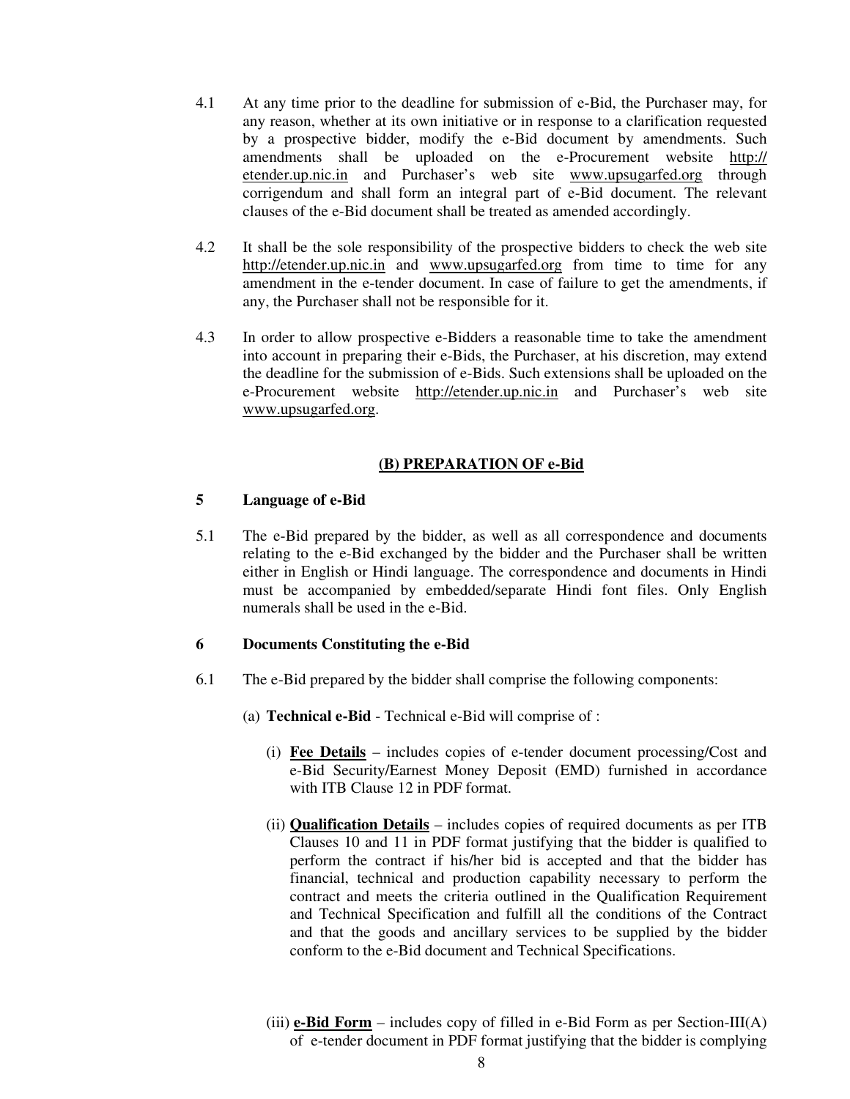- 4.1 At any time prior to the deadline for submission of e-Bid, the Purchaser may, for any reason, whether at its own initiative or in response to a clarification requested by a prospective bidder, modify the e-Bid document by amendments. Such amendments shall be uploaded on the e-Procurement website http:// etender.up.nic.in and Purchaser's web site www.upsugarfed.org through corrigendum and shall form an integral part of e-Bid document. The relevant clauses of the e-Bid document shall be treated as amended accordingly.
- 4.2 It shall be the sole responsibility of the prospective bidders to check the web site http://etender.up.nic.in and www.upsugarfed.org from time to time for any amendment in the e-tender document. In case of failure to get the amendments, if any, the Purchaser shall not be responsible for it.
- 4.3 In order to allow prospective e-Bidders a reasonable time to take the amendment into account in preparing their e-Bids, the Purchaser, at his discretion, may extend the deadline for the submission of e-Bids. Such extensions shall be uploaded on the e-Procurement website http://etender.up.nic.in and Purchaser's web site www.upsugarfed.org.

#### **(B) PREPARATION OF e-Bid**

#### **5 Language of e-Bid**

5.1 The e-Bid prepared by the bidder, as well as all correspondence and documents relating to the e-Bid exchanged by the bidder and the Purchaser shall be written either in English or Hindi language. The correspondence and documents in Hindi must be accompanied by embedded/separate Hindi font files. Only English numerals shall be used in the e-Bid.

#### **6 Documents Constituting the e-Bid**

- 6.1 The e-Bid prepared by the bidder shall comprise the following components:
	- (a) **Technical e-Bid** Technical e-Bid will comprise of :
		- (i) **Fee Details** includes copies of e-tender document processing/Cost and e-Bid Security/Earnest Money Deposit (EMD) furnished in accordance with ITB Clause 12 in PDF format.
		- (ii) **Qualification Details** includes copies of required documents as per ITB Clauses 10 and 11 in PDF format justifying that the bidder is qualified to perform the contract if his/her bid is accepted and that the bidder has financial, technical and production capability necessary to perform the contract and meets the criteria outlined in the Qualification Requirement and Technical Specification and fulfill all the conditions of the Contract and that the goods and ancillary services to be supplied by the bidder conform to the e-Bid document and Technical Specifications.
		- (iii)  $e$ -**Bid Form** includes copy of filled in e-Bid Form as per Section-III(A) of e-tender document in PDF format justifying that the bidder is complying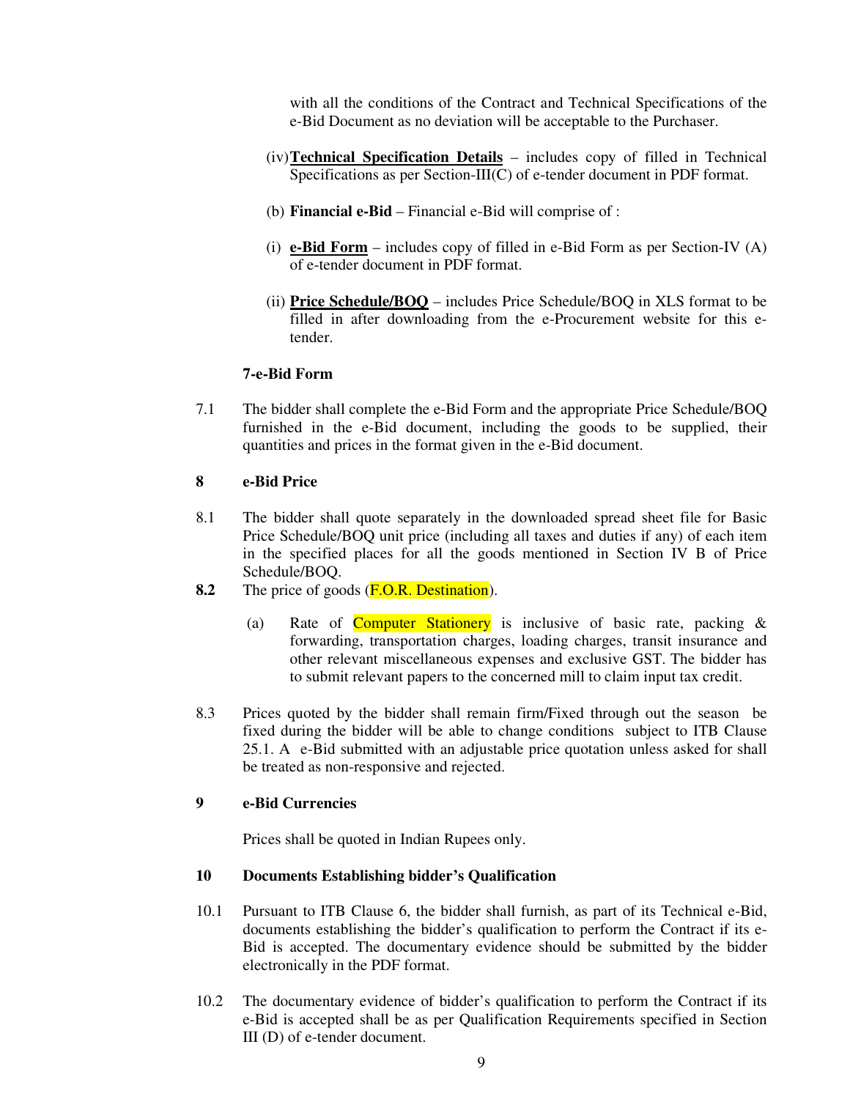with all the conditions of the Contract and Technical Specifications of the e-Bid Document as no deviation will be acceptable to the Purchaser.

- (iv) **Technical Specification Details** includes copy of filled in Technical Specifications as per Section-III(C) of e-tender document in PDF format.
- (b) **Financial e-Bid** Financial e-Bid will comprise of :
- (i) **e-Bid Form** includes copy of filled in e-Bid Form as per Section-IV (A) of e-tender document in PDF format.
- (ii) **Price Schedule/BOQ** includes Price Schedule/BOQ in XLS format to be filled in after downloading from the e-Procurement website for this etender.

#### **7-e-Bid Form**

7.1 The bidder shall complete the e-Bid Form and the appropriate Price Schedule/BOQ furnished in the e-Bid document, including the goods to be supplied, their quantities and prices in the format given in the e-Bid document.

#### **8 e-Bid Price**

- 8.1 The bidder shall quote separately in the downloaded spread sheet file for Basic Price Schedule/BOQ unit price (including all taxes and duties if any) of each item in the specified places for all the goods mentioned in Section IV B of Price Schedule/BOQ.
- **8.2** The price of goods (F.O.R. Destination).
	- (a) Rate of **Computer Stationery** is inclusive of basic rate, packing  $\&$ forwarding, transportation charges, loading charges, transit insurance and other relevant miscellaneous expenses and exclusive GST. The bidder has to submit relevant papers to the concerned mill to claim input tax credit.
- 8.3 Prices quoted by the bidder shall remain firm/Fixed through out the season be fixed during the bidder will be able to change conditions subject to ITB Clause 25.1. A e-Bid submitted with an adjustable price quotation unless asked for shall be treated as non-responsive and rejected.

## **9 e-Bid Currencies**

Prices shall be quoted in Indian Rupees only.

#### **10 Documents Establishing bidder's Qualification**

- 10.1 Pursuant to ITB Clause 6, the bidder shall furnish, as part of its Technical e-Bid, documents establishing the bidder's qualification to perform the Contract if its e-Bid is accepted. The documentary evidence should be submitted by the bidder electronically in the PDF format.
- 10.2 The documentary evidence of bidder's qualification to perform the Contract if its e-Bid is accepted shall be as per Qualification Requirements specified in Section III (D) of e-tender document.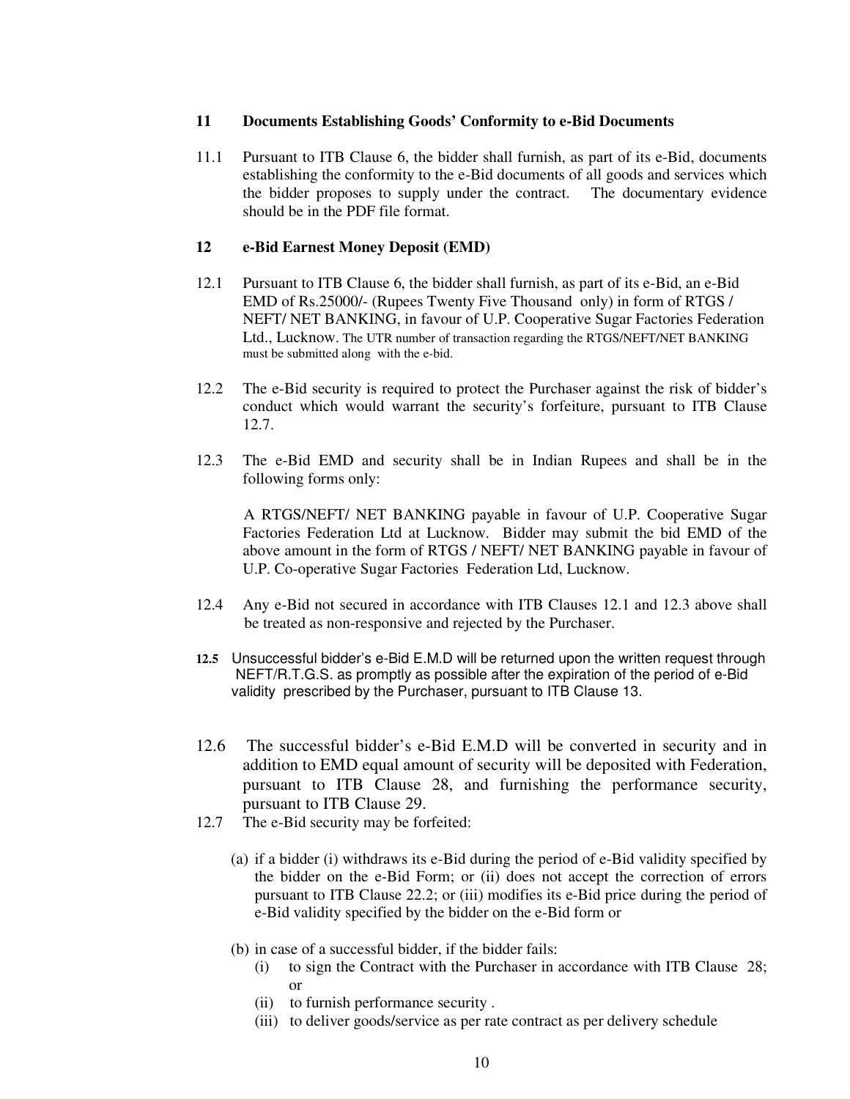#### **11 Documents Establishing Goods' Conformity to e-Bid Documents**

11.1 Pursuant to ITB Clause 6, the bidder shall furnish, as part of its e-Bid, documents establishing the conformity to the e-Bid documents of all goods and services which the bidder proposes to supply under the contract. The documentary evidence should be in the PDF file format.

#### **12 e-Bid Earnest Money Deposit (EMD)**

- 12.1 Pursuant to ITB Clause 6, the bidder shall furnish, as part of its e-Bid, an e-Bid EMD of Rs.25000/- (Rupees Twenty Five Thousand only) in form of RTGS / NEFT/ NET BANKING, in favour of U.P. Cooperative Sugar Factories Federation Ltd., Lucknow. The UTR number of transaction regarding the RTGS/NEFT/NET BANKING must be submitted along with the e-bid.
- 12.2 The e-Bid security is required to protect the Purchaser against the risk of bidder's conduct which would warrant the security's forfeiture, pursuant to ITB Clause 12.7.
- 12.3 The e-Bid EMD and security shall be in Indian Rupees and shall be in the following forms only:

A RTGS/NEFT/ NET BANKING payable in favour of U.P. Cooperative Sugar Factories Federation Ltd at Lucknow. Bidder may submit the bid EMD of the above amount in the form of RTGS / NEFT/ NET BANKING payable in favour of U.P. Co-operative Sugar Factories Federation Ltd, Lucknow.

- 12.4 Any e-Bid not secured in accordance with ITB Clauses 12.1 and 12.3 above shall be treated as non-responsive and rejected by the Purchaser.
- **12.5** Unsuccessful bidder's e-Bid E.M.D will be returned upon the written request through NEFT/R.T.G.S. as promptly as possible after the expiration of the period of e-Bid validity prescribed by the Purchaser, pursuant to ITB Clause 13.
- 12.6 The successful bidder's e-Bid E.M.D will be converted in security and in addition to EMD equal amount of security will be deposited with Federation, pursuant to ITB Clause 28, and furnishing the performance security, pursuant to ITB Clause 29.
- 12.7 The e-Bid security may be forfeited:
	- (a) if a bidder (i) withdraws its e-Bid during the period of e-Bid validity specified by the bidder on the e-Bid Form; or (ii) does not accept the correction of errors pursuant to ITB Clause 22.2; or (iii) modifies its e-Bid price during the period of e-Bid validity specified by the bidder on the e-Bid form or
	- (b) in case of a successful bidder, if the bidder fails:
		- (i) to sign the Contract with the Purchaser in accordance with ITB Clause 28; or
		- (ii) to furnish performance security .
		- (iii) to deliver goods/service as per rate contract as per delivery schedule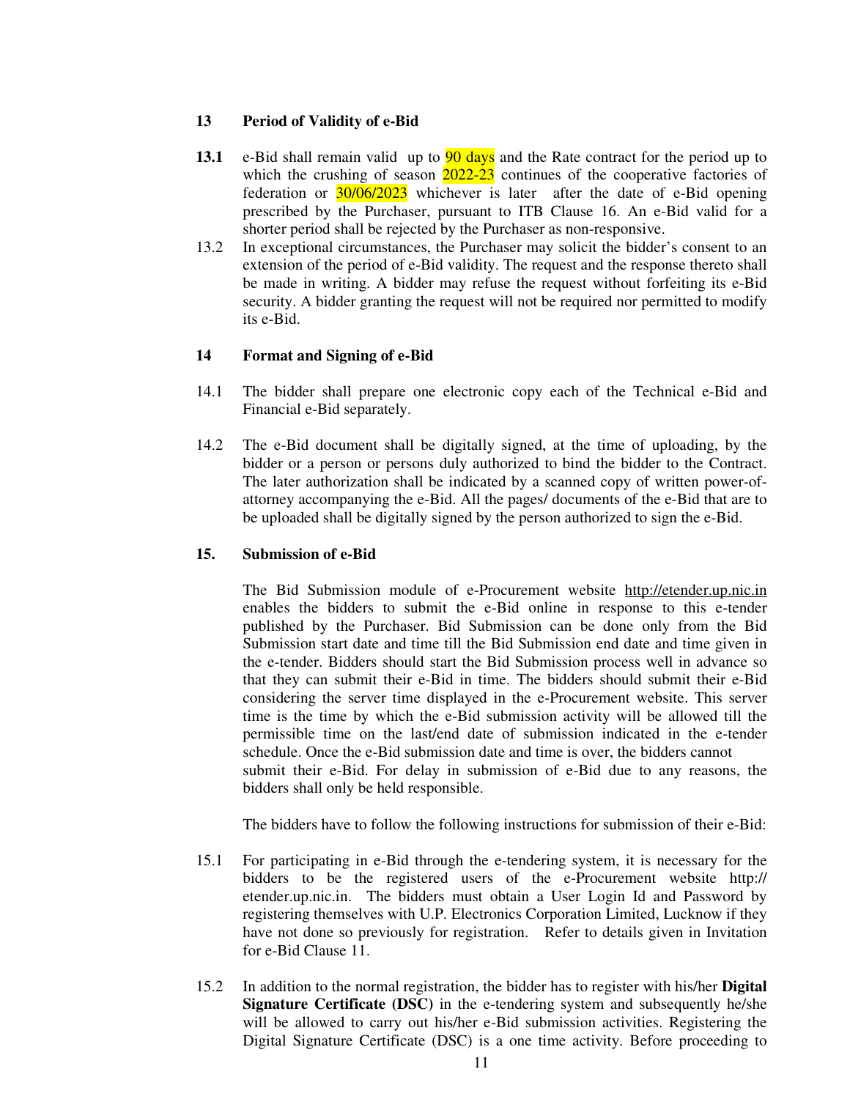#### **13 Period of Validity of e-Bid**

- **13.1** e-Bid shall remain valid up to 90 days and the Rate contract for the period up to which the crushing of season  $2022-23$  continues of the cooperative factories of federation or 30/06/2023 whichever is later after the date of e-Bid opening prescribed by the Purchaser, pursuant to ITB Clause 16. An e-Bid valid for a shorter period shall be rejected by the Purchaser as non-responsive.
- 13.2 In exceptional circumstances, the Purchaser may solicit the bidder's consent to an extension of the period of e-Bid validity. The request and the response thereto shall be made in writing. A bidder may refuse the request without forfeiting its e-Bid security. A bidder granting the request will not be required nor permitted to modify its e-Bid.

#### **14 Format and Signing of e-Bid**

- 14.1 The bidder shall prepare one electronic copy each of the Technical e-Bid and Financial e-Bid separately.
- 14.2 The e-Bid document shall be digitally signed, at the time of uploading, by the bidder or a person or persons duly authorized to bind the bidder to the Contract. The later authorization shall be indicated by a scanned copy of written power-ofattorney accompanying the e-Bid. All the pages/ documents of the e-Bid that are to be uploaded shall be digitally signed by the person authorized to sign the e-Bid.

#### **15. Submission of e-Bid**

The Bid Submission module of e-Procurement website http://etender.up.nic.in enables the bidders to submit the e-Bid online in response to this e-tender published by the Purchaser. Bid Submission can be done only from the Bid Submission start date and time till the Bid Submission end date and time given in the e-tender. Bidders should start the Bid Submission process well in advance so that they can submit their e-Bid in time. The bidders should submit their e-Bid considering the server time displayed in the e-Procurement website. This server time is the time by which the e-Bid submission activity will be allowed till the permissible time on the last/end date of submission indicated in the e-tender schedule. Once the e-Bid submission date and time is over, the bidders cannot submit their e-Bid. For delay in submission of e-Bid due to any reasons, the bidders shall only be held responsible.

The bidders have to follow the following instructions for submission of their e-Bid:

- 15.1 For participating in e-Bid through the e-tendering system, it is necessary for the bidders to be the registered users of the e-Procurement website http:// etender.up.nic.in. The bidders must obtain a User Login Id and Password by registering themselves with U.P. Electronics Corporation Limited, Lucknow if they have not done so previously for registration. Refer to details given in Invitation for e-Bid Clause 11.
- 15.2 In addition to the normal registration, the bidder has to register with his/her **Digital Signature Certificate (DSC)** in the e-tendering system and subsequently he/she will be allowed to carry out his/her e-Bid submission activities. Registering the Digital Signature Certificate (DSC) is a one time activity. Before proceeding to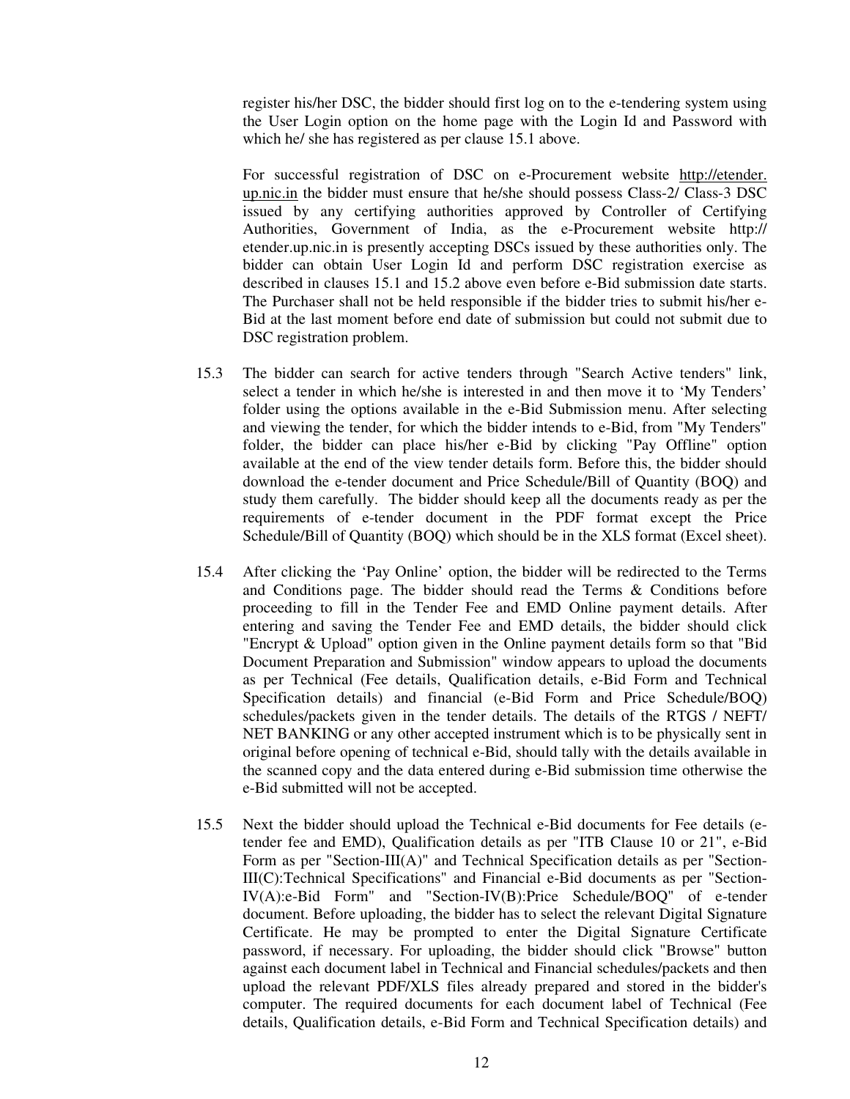register his/her DSC, the bidder should first log on to the e-tendering system using the User Login option on the home page with the Login Id and Password with which he/ she has registered as per clause 15.1 above.

 For successful registration of DSC on e-Procurement website http://etender. up.nic.in the bidder must ensure that he/she should possess Class-2/ Class-3 DSC issued by any certifying authorities approved by Controller of Certifying Authorities, Government of India, as the e-Procurement website http:// etender.up.nic.in is presently accepting DSCs issued by these authorities only. The bidder can obtain User Login Id and perform DSC registration exercise as described in clauses 15.1 and 15.2 above even before e-Bid submission date starts. The Purchaser shall not be held responsible if the bidder tries to submit his/her e-Bid at the last moment before end date of submission but could not submit due to DSC registration problem.

- 15.3 The bidder can search for active tenders through "Search Active tenders" link, select a tender in which he/she is interested in and then move it to 'My Tenders' folder using the options available in the e-Bid Submission menu. After selecting and viewing the tender, for which the bidder intends to e-Bid, from "My Tenders" folder, the bidder can place his/her e-Bid by clicking "Pay Offline" option available at the end of the view tender details form. Before this, the bidder should download the e-tender document and Price Schedule/Bill of Quantity (BOQ) and study them carefully. The bidder should keep all the documents ready as per the requirements of e-tender document in the PDF format except the Price Schedule/Bill of Quantity (BOQ) which should be in the XLS format (Excel sheet).
- 15.4 After clicking the 'Pay Online' option, the bidder will be redirected to the Terms and Conditions page. The bidder should read the Terms & Conditions before proceeding to fill in the Tender Fee and EMD Online payment details. After entering and saving the Tender Fee and EMD details, the bidder should click "Encrypt & Upload" option given in the Online payment details form so that "Bid Document Preparation and Submission" window appears to upload the documents as per Technical (Fee details, Qualification details, e-Bid Form and Technical Specification details) and financial (e-Bid Form and Price Schedule/BOQ) schedules/packets given in the tender details. The details of the RTGS / NEFT/ NET BANKING or any other accepted instrument which is to be physically sent in original before opening of technical e-Bid, should tally with the details available in the scanned copy and the data entered during e-Bid submission time otherwise the e-Bid submitted will not be accepted.
- 15.5 Next the bidder should upload the Technical e-Bid documents for Fee details (etender fee and EMD), Qualification details as per "ITB Clause 10 or 21", e-Bid Form as per "Section-III(A)" and Technical Specification details as per "Section-III(C):Technical Specifications" and Financial e-Bid documents as per "Section-IV(A):e-Bid Form" and "Section-IV(B):Price Schedule/BOQ" of e-tender document. Before uploading, the bidder has to select the relevant Digital Signature Certificate. He may be prompted to enter the Digital Signature Certificate password, if necessary. For uploading, the bidder should click "Browse" button against each document label in Technical and Financial schedules/packets and then upload the relevant PDF/XLS files already prepared and stored in the bidder's computer. The required documents for each document label of Technical (Fee details, Qualification details, e-Bid Form and Technical Specification details) and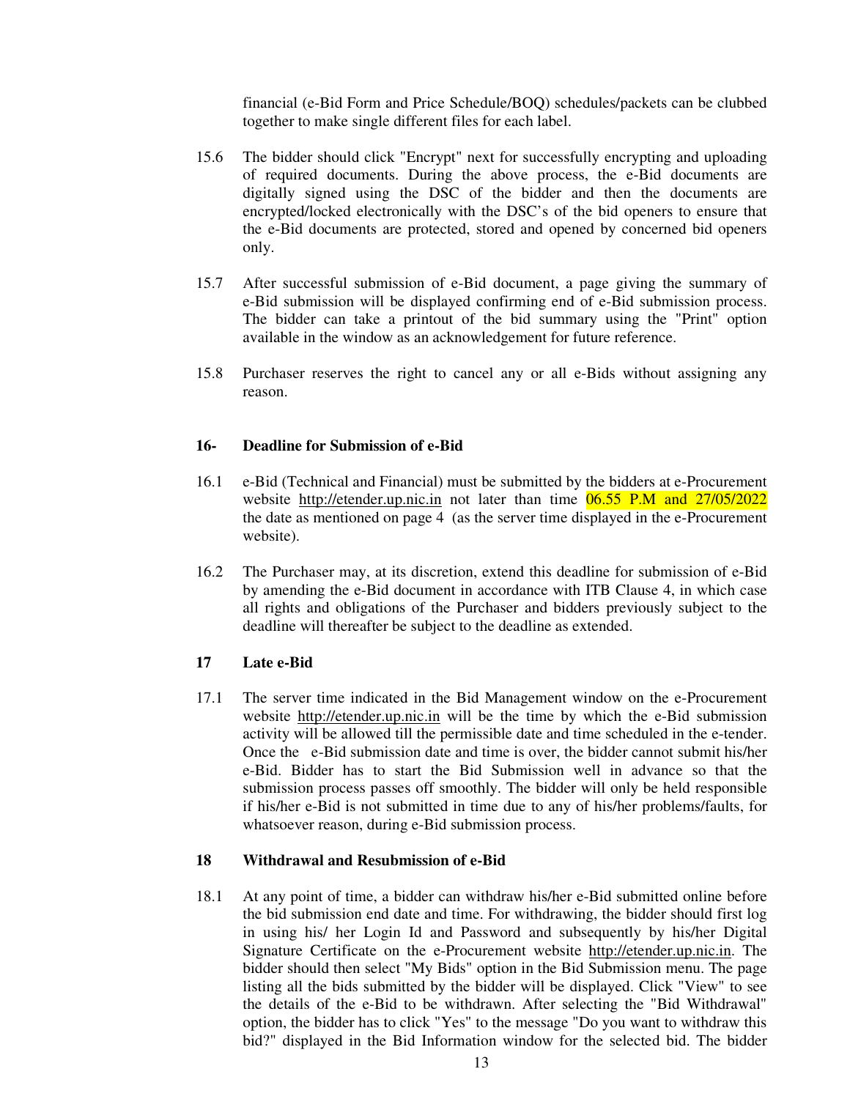financial (e-Bid Form and Price Schedule/BOQ) schedules/packets can be clubbed together to make single different files for each label.

- 15.6 The bidder should click "Encrypt" next for successfully encrypting and uploading of required documents. During the above process, the e-Bid documents are digitally signed using the DSC of the bidder and then the documents are encrypted/locked electronically with the DSC's of the bid openers to ensure that the e-Bid documents are protected, stored and opened by concerned bid openers only.
- 15.7 After successful submission of e-Bid document, a page giving the summary of e-Bid submission will be displayed confirming end of e-Bid submission process. The bidder can take a printout of the bid summary using the "Print" option available in the window as an acknowledgement for future reference.
- 15.8 Purchaser reserves the right to cancel any or all e-Bids without assigning any reason.

#### **16- Deadline for Submission of e-Bid**

- 16.1 e-Bid (Technical and Financial) must be submitted by the bidders at e-Procurement website http://etender.up.nic.in not later than time 06.55 P.M and 27/05/2022 the date as mentioned on page 4 (as the server time displayed in the e-Procurement website).
- 16.2 The Purchaser may, at its discretion, extend this deadline for submission of e-Bid by amending the e-Bid document in accordance with ITB Clause 4, in which case all rights and obligations of the Purchaser and bidders previously subject to the deadline will thereafter be subject to the deadline as extended.

#### **17 Late e-Bid**

17.1 The server time indicated in the Bid Management window on the e-Procurement website http://etender.up.nic.in will be the time by which the e-Bid submission activity will be allowed till the permissible date and time scheduled in the e-tender. Once the e-Bid submission date and time is over, the bidder cannot submit his/her e-Bid. Bidder has to start the Bid Submission well in advance so that the submission process passes off smoothly. The bidder will only be held responsible if his/her e-Bid is not submitted in time due to any of his/her problems/faults, for whatsoever reason, during e-Bid submission process.

#### **18 Withdrawal and Resubmission of e-Bid**

18.1 At any point of time, a bidder can withdraw his/her e-Bid submitted online before the bid submission end date and time. For withdrawing, the bidder should first log in using his/ her Login Id and Password and subsequently by his/her Digital Signature Certificate on the e-Procurement website http://etender.up.nic.in. The bidder should then select "My Bids" option in the Bid Submission menu. The page listing all the bids submitted by the bidder will be displayed. Click "View" to see the details of the e-Bid to be withdrawn. After selecting the "Bid Withdrawal" option, the bidder has to click "Yes" to the message "Do you want to withdraw this bid?" displayed in the Bid Information window for the selected bid. The bidder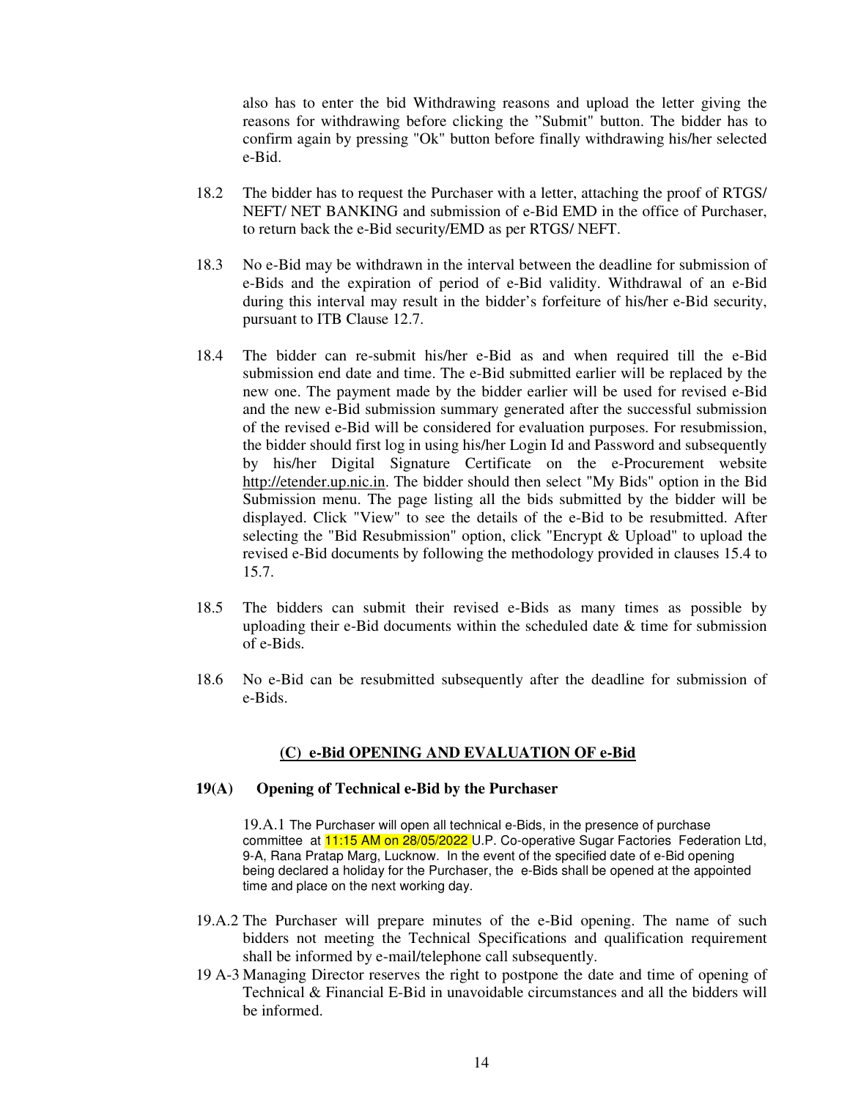also has to enter the bid Withdrawing reasons and upload the letter giving the reasons for withdrawing before clicking the "Submit" button. The bidder has to confirm again by pressing "Ok" button before finally withdrawing his/her selected e-Bid.

- 18.2 The bidder has to request the Purchaser with a letter, attaching the proof of RTGS/ NEFT/ NET BANKING and submission of e-Bid EMD in the office of Purchaser, to return back the e-Bid security/EMD as per RTGS/ NEFT.
- 18.3 No e-Bid may be withdrawn in the interval between the deadline for submission of e-Bids and the expiration of period of e-Bid validity. Withdrawal of an e-Bid during this interval may result in the bidder's forfeiture of his/her e-Bid security, pursuant to ITB Clause 12.7.
- 18.4 The bidder can re-submit his/her e-Bid as and when required till the e-Bid submission end date and time. The e-Bid submitted earlier will be replaced by the new one. The payment made by the bidder earlier will be used for revised e-Bid and the new e-Bid submission summary generated after the successful submission of the revised e-Bid will be considered for evaluation purposes. For resubmission, the bidder should first log in using his/her Login Id and Password and subsequently by his/her Digital Signature Certificate on the e-Procurement website http://etender.up.nic.in. The bidder should then select "My Bids" option in the Bid Submission menu. The page listing all the bids submitted by the bidder will be displayed. Click "View" to see the details of the e-Bid to be resubmitted. After selecting the "Bid Resubmission" option, click "Encrypt & Upload" to upload the revised e-Bid documents by following the methodology provided in clauses 15.4 to 15.7.
- 18.5 The bidders can submit their revised e-Bids as many times as possible by uploading their e-Bid documents within the scheduled date  $\&$  time for submission of e-Bids.
- 18.6 No e-Bid can be resubmitted subsequently after the deadline for submission of e-Bids.

#### **(C) e-Bid OPENING AND EVALUATION OF e-Bid**

#### **19(A) Opening of Technical e-Bid by the Purchaser**

19.A.1 The Purchaser will open all technical e-Bids, in the presence of purchase committee at 11:15 AM on 28/05/2022 U.P. Co-operative Sugar Factories Federation Ltd, 9-A, Rana Pratap Marg, Lucknow. In the event of the specified date of e-Bid opening being declared a holiday for the Purchaser, the e-Bids shall be opened at the appointed time and place on the next working day.

- 19.A.2 The Purchaser will prepare minutes of the e-Bid opening. The name of such bidders not meeting the Technical Specifications and qualification requirement shall be informed by e-mail/telephone call subsequently.
- 19 A-3 Managing Director reserves the right to postpone the date and time of opening of Technical & Financial E-Bid in unavoidable circumstances and all the bidders will be informed.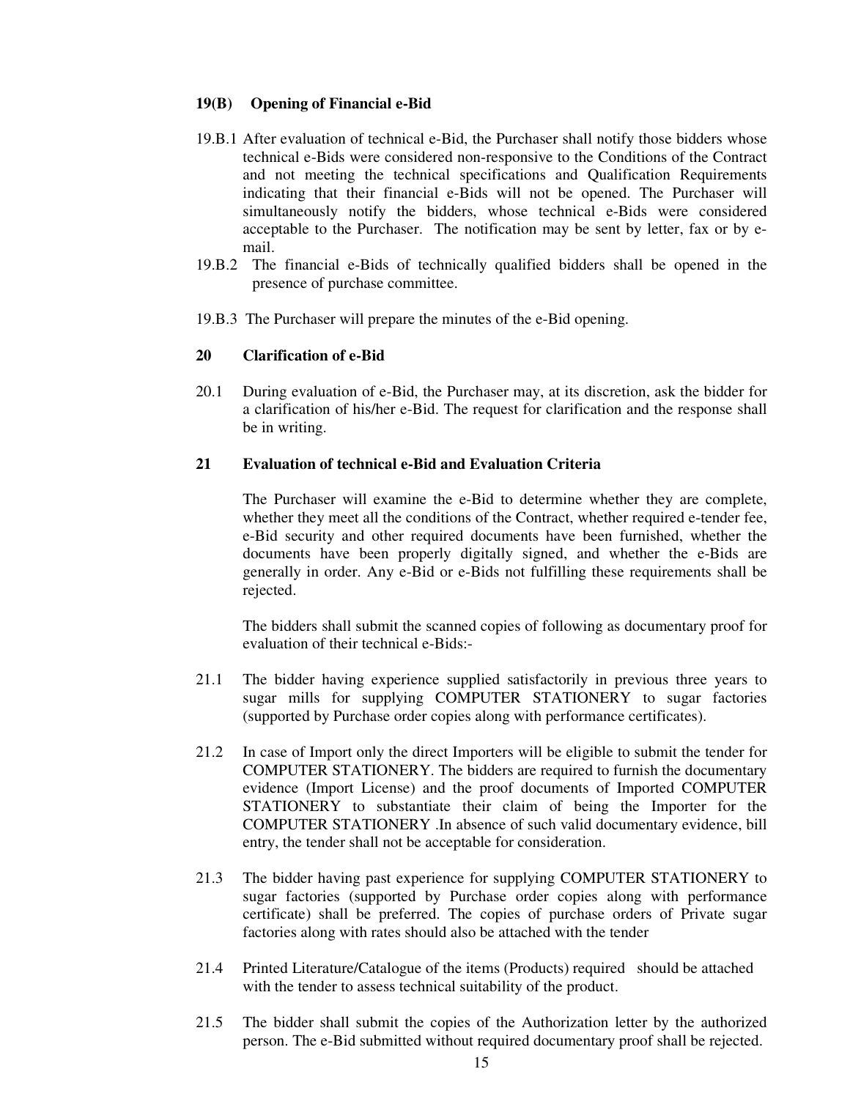#### **19(B) Opening of Financial e-Bid**

- 19.B.1 After evaluation of technical e-Bid, the Purchaser shall notify those bidders whose technical e-Bids were considered non-responsive to the Conditions of the Contract and not meeting the technical specifications and Qualification Requirements indicating that their financial e-Bids will not be opened. The Purchaser will simultaneously notify the bidders, whose technical e-Bids were considered acceptable to the Purchaser. The notification may be sent by letter, fax or by email.
- 19.B.2 The financial e-Bids of technically qualified bidders shall be opened in the presence of purchase committee.
- 19.B.3 The Purchaser will prepare the minutes of the e-Bid opening.

#### **20 Clarification of e-Bid**

20.1 During evaluation of e-Bid, the Purchaser may, at its discretion, ask the bidder for a clarification of his/her e-Bid. The request for clarification and the response shall be in writing.

#### **21 Evaluation of technical e-Bid and Evaluation Criteria**

The Purchaser will examine the e-Bid to determine whether they are complete, whether they meet all the conditions of the Contract, whether required e-tender fee, e-Bid security and other required documents have been furnished, whether the documents have been properly digitally signed, and whether the e-Bids are generally in order. Any e-Bid or e-Bids not fulfilling these requirements shall be rejected.

The bidders shall submit the scanned copies of following as documentary proof for evaluation of their technical e-Bids:-

- 21.1 The bidder having experience supplied satisfactorily in previous three years to sugar mills for supplying COMPUTER STATIONERY to sugar factories (supported by Purchase order copies along with performance certificates).
- 21.2 In case of Import only the direct Importers will be eligible to submit the tender for COMPUTER STATIONERY. The bidders are required to furnish the documentary evidence (Import License) and the proof documents of Imported COMPUTER STATIONERY to substantiate their claim of being the Importer for the COMPUTER STATIONERY .In absence of such valid documentary evidence, bill entry, the tender shall not be acceptable for consideration.
- 21.3 The bidder having past experience for supplying COMPUTER STATIONERY to sugar factories (supported by Purchase order copies along with performance certificate) shall be preferred. The copies of purchase orders of Private sugar factories along with rates should also be attached with the tender
- 21.4 Printed Literature/Catalogue of the items (Products) required should be attached with the tender to assess technical suitability of the product.
- 21.5 The bidder shall submit the copies of the Authorization letter by the authorized person. The e-Bid submitted without required documentary proof shall be rejected.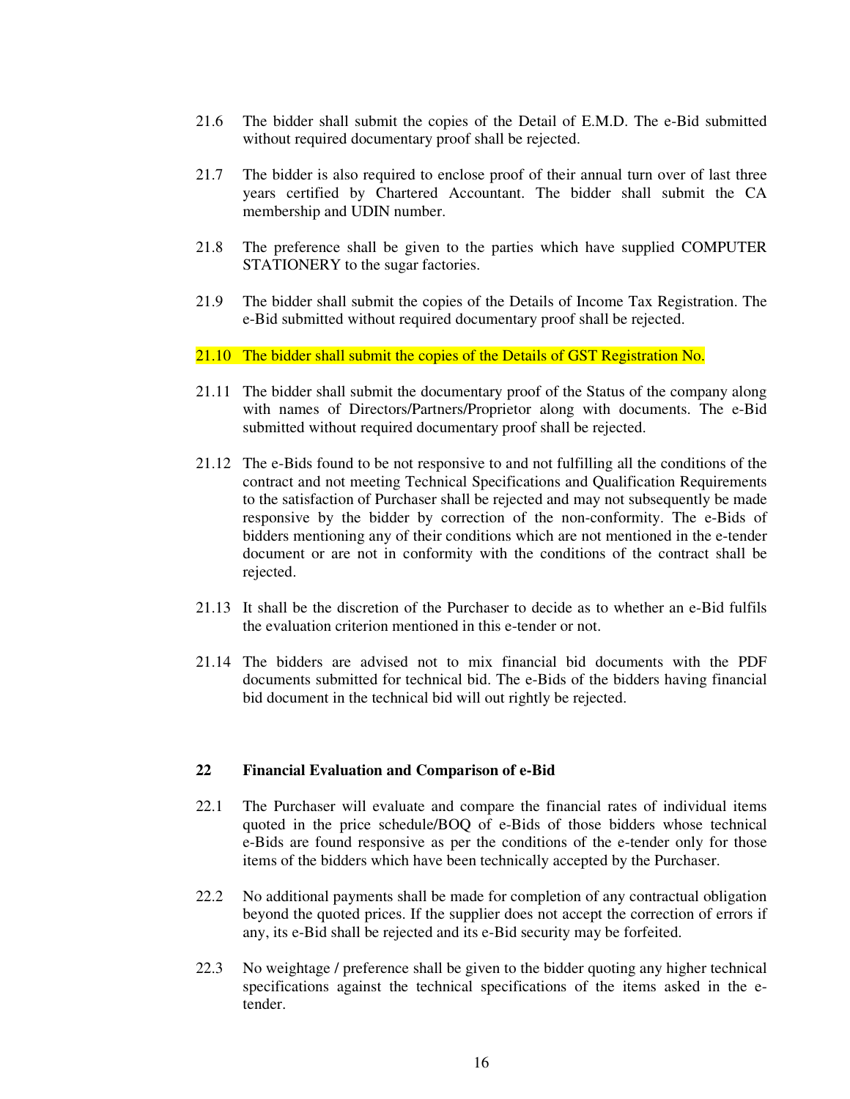- 21.6 The bidder shall submit the copies of the Detail of E.M.D. The e-Bid submitted without required documentary proof shall be rejected.
- 21.7 The bidder is also required to enclose proof of their annual turn over of last three years certified by Chartered Accountant. The bidder shall submit the CA membership and UDIN number.
- 21.8 The preference shall be given to the parties which have supplied COMPUTER STATIONERY to the sugar factories.
- 21.9 The bidder shall submit the copies of the Details of Income Tax Registration. The e-Bid submitted without required documentary proof shall be rejected.

#### 21.10 The bidder shall submit the copies of the Details of GST Registration No.

- 21.11 The bidder shall submit the documentary proof of the Status of the company along with names of Directors/Partners/Proprietor along with documents. The e-Bid submitted without required documentary proof shall be rejected.
- 21.12 The e-Bids found to be not responsive to and not fulfilling all the conditions of the contract and not meeting Technical Specifications and Qualification Requirements to the satisfaction of Purchaser shall be rejected and may not subsequently be made responsive by the bidder by correction of the non-conformity. The e-Bids of bidders mentioning any of their conditions which are not mentioned in the e-tender document or are not in conformity with the conditions of the contract shall be rejected.
- 21.13 It shall be the discretion of the Purchaser to decide as to whether an e-Bid fulfils the evaluation criterion mentioned in this e-tender or not.
- 21.14 The bidders are advised not to mix financial bid documents with the PDF documents submitted for technical bid. The e-Bids of the bidders having financial bid document in the technical bid will out rightly be rejected.

#### **22 Financial Evaluation and Comparison of e-Bid**

- 22.1 The Purchaser will evaluate and compare the financial rates of individual items quoted in the price schedule/BOQ of e-Bids of those bidders whose technical e-Bids are found responsive as per the conditions of the e-tender only for those items of the bidders which have been technically accepted by the Purchaser.
- 22.2 No additional payments shall be made for completion of any contractual obligation beyond the quoted prices. If the supplier does not accept the correction of errors if any, its e-Bid shall be rejected and its e-Bid security may be forfeited.
- 22.3 No weightage / preference shall be given to the bidder quoting any higher technical specifications against the technical specifications of the items asked in the etender.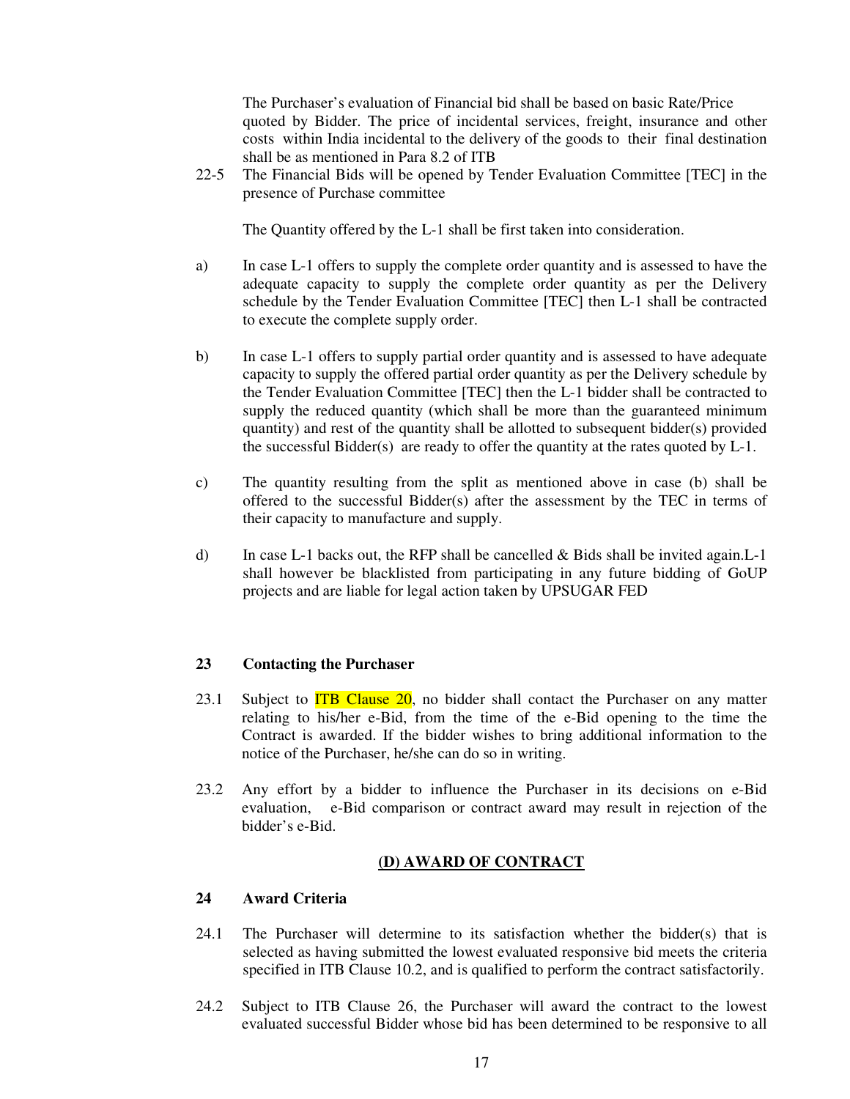The Purchaser's evaluation of Financial bid shall be based on basic Rate/Price quoted by Bidder. The price of incidental services, freight, insurance and other costs within India incidental to the delivery of the goods to their final destination shall be as mentioned in Para 8.2 of ITB

22-5 The Financial Bids will be opened by Tender Evaluation Committee [TEC] in the presence of Purchase committee

The Quantity offered by the L-1 shall be first taken into consideration.

- a) In case L-1 offers to supply the complete order quantity and is assessed to have the adequate capacity to supply the complete order quantity as per the Delivery schedule by the Tender Evaluation Committee [TEC] then L-1 shall be contracted to execute the complete supply order.
- b) In case L-1 offers to supply partial order quantity and is assessed to have adequate capacity to supply the offered partial order quantity as per the Delivery schedule by the Tender Evaluation Committee [TEC] then the L-1 bidder shall be contracted to supply the reduced quantity (which shall be more than the guaranteed minimum quantity) and rest of the quantity shall be allotted to subsequent bidder(s) provided the successful Bidder(s) are ready to offer the quantity at the rates quoted by L-1.
- c) The quantity resulting from the split as mentioned above in case (b) shall be offered to the successful Bidder(s) after the assessment by the TEC in terms of their capacity to manufacture and supply.
- d) In case L-1 backs out, the RFP shall be cancelled  $\&$  Bids shall be invited again. L-1 shall however be blacklisted from participating in any future bidding of GoUP projects and are liable for legal action taken by UPSUGAR FED

#### **23 Contacting the Purchaser**

- 23.1 Subject to  $ITB$  Clause 20, no bidder shall contact the Purchaser on any matter relating to his/her e-Bid, from the time of the e-Bid opening to the time the Contract is awarded. If the bidder wishes to bring additional information to the notice of the Purchaser, he/she can do so in writing.
- 23.2 Any effort by a bidder to influence the Purchaser in its decisions on e-Bid evaluation, e-Bid comparison or contract award may result in rejection of the bidder's e-Bid.

#### **(D) AWARD OF CONTRACT**

#### **24 Award Criteria**

- 24.1 The Purchaser will determine to its satisfaction whether the bidder(s) that is selected as having submitted the lowest evaluated responsive bid meets the criteria specified in ITB Clause 10.2, and is qualified to perform the contract satisfactorily.
- 24.2 Subject to ITB Clause 26, the Purchaser will award the contract to the lowest evaluated successful Bidder whose bid has been determined to be responsive to all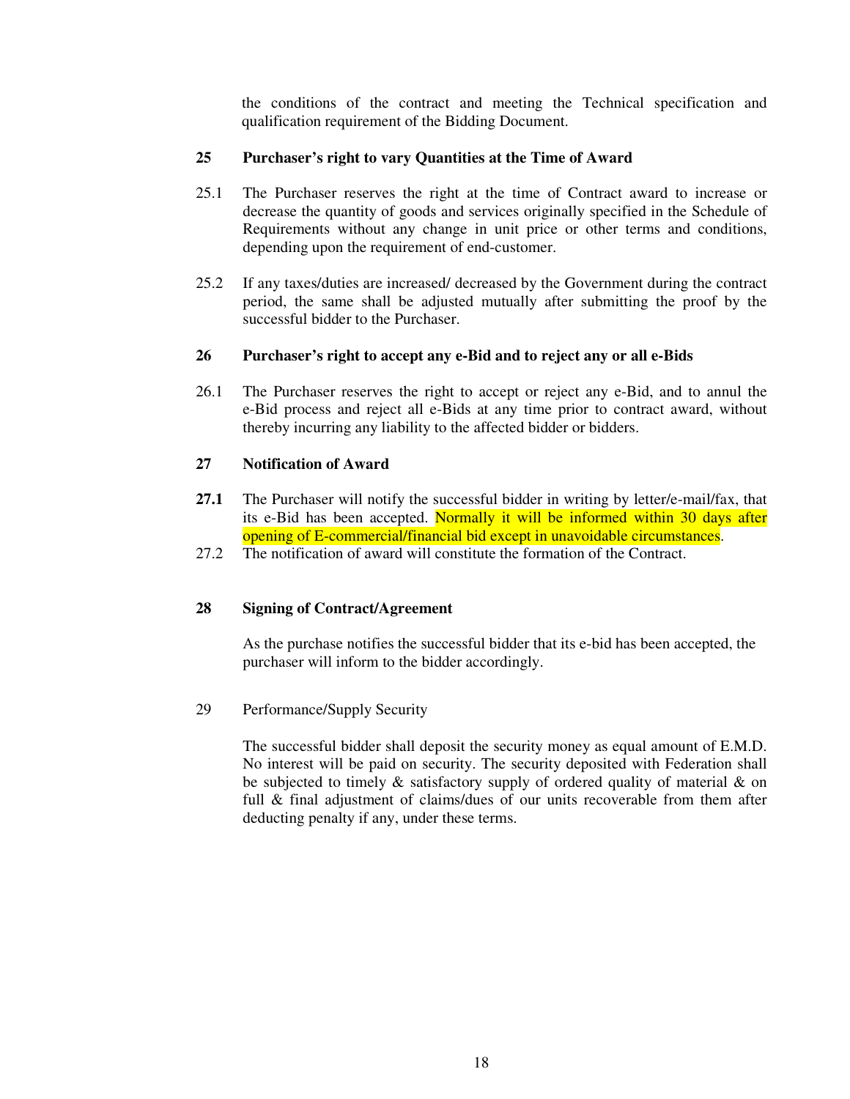the conditions of the contract and meeting the Technical specification and qualification requirement of the Bidding Document.

## **25 Purchaser's right to vary Quantities at the Time of Award**

- 25.1 The Purchaser reserves the right at the time of Contract award to increase or decrease the quantity of goods and services originally specified in the Schedule of Requirements without any change in unit price or other terms and conditions, depending upon the requirement of end-customer.
- 25.2 If any taxes/duties are increased/ decreased by the Government during the contract period, the same shall be adjusted mutually after submitting the proof by the successful bidder to the Purchaser.

#### **26 Purchaser's right to accept any e-Bid and to reject any or all e-Bids**

26.1 The Purchaser reserves the right to accept or reject any e-Bid, and to annul the e-Bid process and reject all e-Bids at any time prior to contract award, without thereby incurring any liability to the affected bidder or bidders.

#### **27 Notification of Award**

- **27.1** The Purchaser will notify the successful bidder in writing by letter/e-mail/fax, that its e-Bid has been accepted. Normally it will be informed within 30 days after opening of E-commercial/financial bid except in unavoidable circumstances.
- 27.2 The notification of award will constitute the formation of the Contract.

## **28 Signing of Contract/Agreement**

As the purchase notifies the successful bidder that its e-bid has been accepted, the purchaser will inform to the bidder accordingly.

29 Performance/Supply Security

The successful bidder shall deposit the security money as equal amount of E.M.D. No interest will be paid on security. The security deposited with Federation shall be subjected to timely  $\&$  satisfactory supply of ordered quality of material  $\&$  on full & final adjustment of claims/dues of our units recoverable from them after deducting penalty if any, under these terms.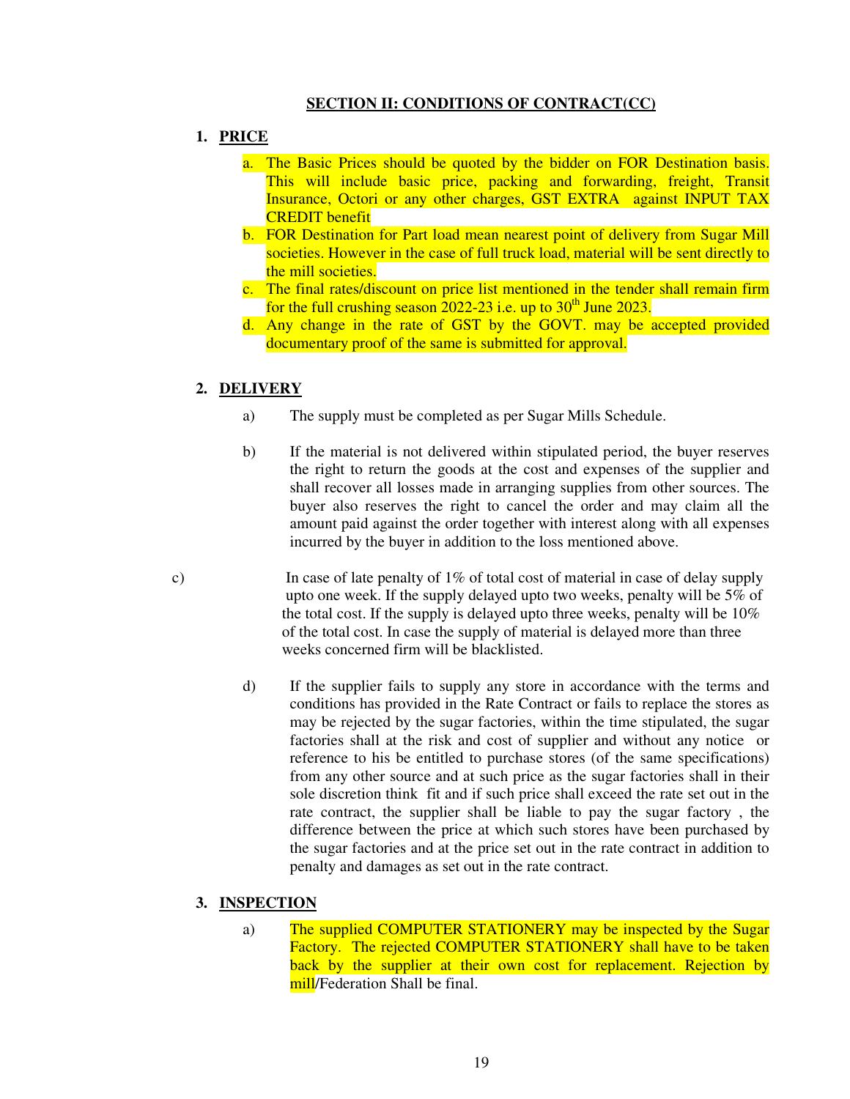## **SECTION II: CONDITIONS OF CONTRACT(CC)**

- **1. PRICE** 
	- a. The Basic Prices should be quoted by the bidder on FOR Destination basis. This will include basic price, packing and forwarding, freight, Transit Insurance, Octori or any other charges, GST EXTRA against INPUT TAX CREDIT benefit
	- b. FOR Destination for Part load mean nearest point of delivery from Sugar Mill societies. However in the case of full truck load, material will be sent directly to the mill societies.
	- c. The final rates/discount on price list mentioned in the tender shall remain firm for the full crushing season  $2022-23$  i.e. up to  $30<sup>th</sup>$  June 2023.
	- d. Any change in the rate of GST by the GOVT. may be accepted provided documentary proof of the same is submitted for approval.

#### **2. DELIVERY**

- a) The supply must be completed as per Sugar Mills Schedule.
- b) If the material is not delivered within stipulated period, the buyer reserves the right to return the goods at the cost and expenses of the supplier and shall recover all losses made in arranging supplies from other sources. The buyer also reserves the right to cancel the order and may claim all the amount paid against the order together with interest along with all expenses incurred by the buyer in addition to the loss mentioned above.
- c) In case of late penalty of  $1\%$  of total cost of material in case of delay supply upto one week. If the supply delayed upto two weeks, penalty will be 5% of the total cost. If the supply is delayed upto three weeks, penalty will be 10% of the total cost. In case the supply of material is delayed more than three weeks concerned firm will be blacklisted.
	- d) If the supplier fails to supply any store in accordance with the terms and conditions has provided in the Rate Contract or fails to replace the stores as may be rejected by the sugar factories, within the time stipulated, the sugar factories shall at the risk and cost of supplier and without any notice or reference to his be entitled to purchase stores (of the same specifications) from any other source and at such price as the sugar factories shall in their sole discretion think fit and if such price shall exceed the rate set out in the rate contract, the supplier shall be liable to pay the sugar factory , the difference between the price at which such stores have been purchased by the sugar factories and at the price set out in the rate contract in addition to penalty and damages as set out in the rate contract.

#### **3. INSPECTION**

a) The supplied COMPUTER STATIONERY may be inspected by the Sugar Factory. The rejected COMPUTER STATIONERY shall have to be taken back by the supplier at their own cost for replacement. Rejection by mill/Federation Shall be final.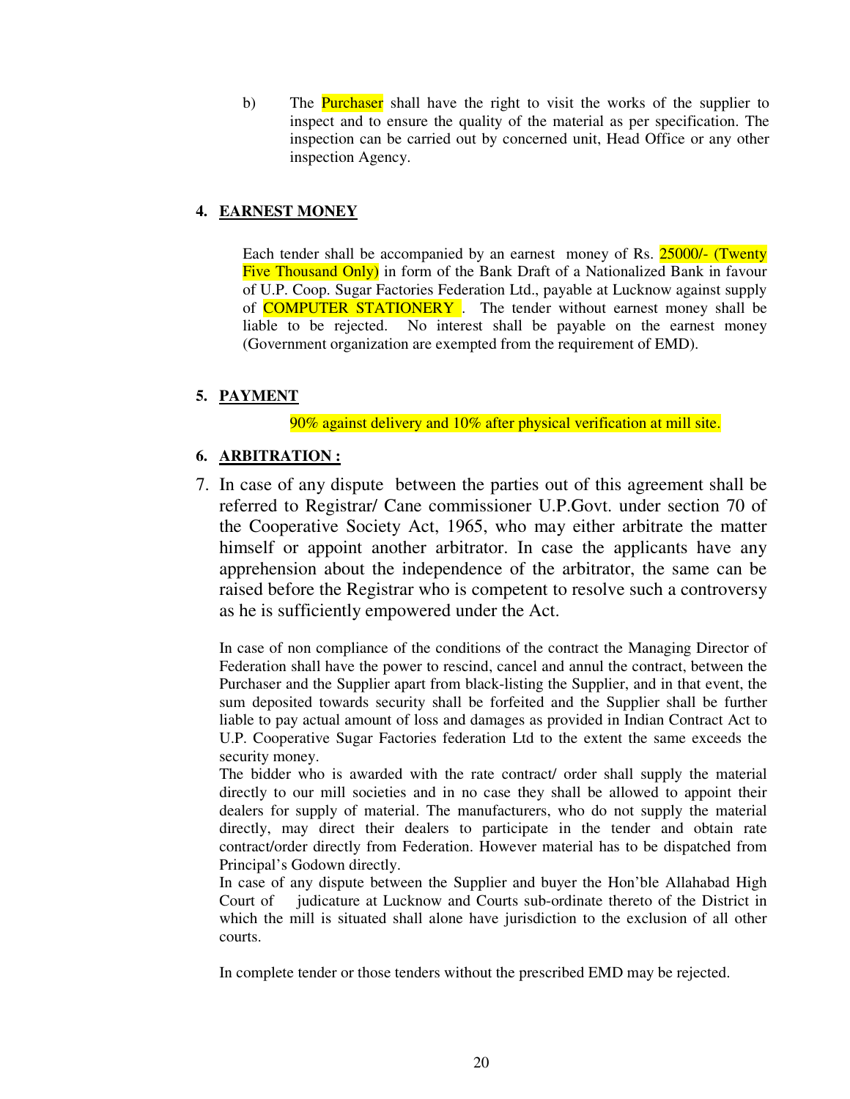b) The Purchaser shall have the right to visit the works of the supplier to inspect and to ensure the quality of the material as per specification. The inspection can be carried out by concerned unit, Head Office or any other inspection Agency.

## **4. EARNEST MONEY**

Each tender shall be accompanied by an earnest money of Rs. 25000/- (Twenty Five Thousand Only) in form of the Bank Draft of a Nationalized Bank in favour of U.P. Coop. Sugar Factories Federation Ltd., payable at Lucknow against supply of **COMPUTER STATIONERY**. The tender without earnest money shall be liable to be rejected. No interest shall be payable on the earnest money (Government organization are exempted from the requirement of EMD).

# **5. PAYMENT**

90% against delivery and 10% after physical verification at mill site.

## **6. ARBITRATION :**

7. In case of any dispute between the parties out of this agreement shall be referred to Registrar/ Cane commissioner U.P.Govt. under section 70 of the Cooperative Society Act, 1965, who may either arbitrate the matter himself or appoint another arbitrator. In case the applicants have any apprehension about the independence of the arbitrator, the same can be raised before the Registrar who is competent to resolve such a controversy as he is sufficiently empowered under the Act.

In case of non compliance of the conditions of the contract the Managing Director of Federation shall have the power to rescind, cancel and annul the contract, between the Purchaser and the Supplier apart from black-listing the Supplier, and in that event, the sum deposited towards security shall be forfeited and the Supplier shall be further liable to pay actual amount of loss and damages as provided in Indian Contract Act to U.P. Cooperative Sugar Factories federation Ltd to the extent the same exceeds the security money.

The bidder who is awarded with the rate contract/ order shall supply the material directly to our mill societies and in no case they shall be allowed to appoint their dealers for supply of material. The manufacturers, who do not supply the material directly, may direct their dealers to participate in the tender and obtain rate contract/order directly from Federation. However material has to be dispatched from Principal's Godown directly.

In case of any dispute between the Supplier and buyer the Hon'ble Allahabad High Court of judicature at Lucknow and Courts sub-ordinate thereto of the District in which the mill is situated shall alone have jurisdiction to the exclusion of all other courts.

In complete tender or those tenders without the prescribed EMD may be rejected.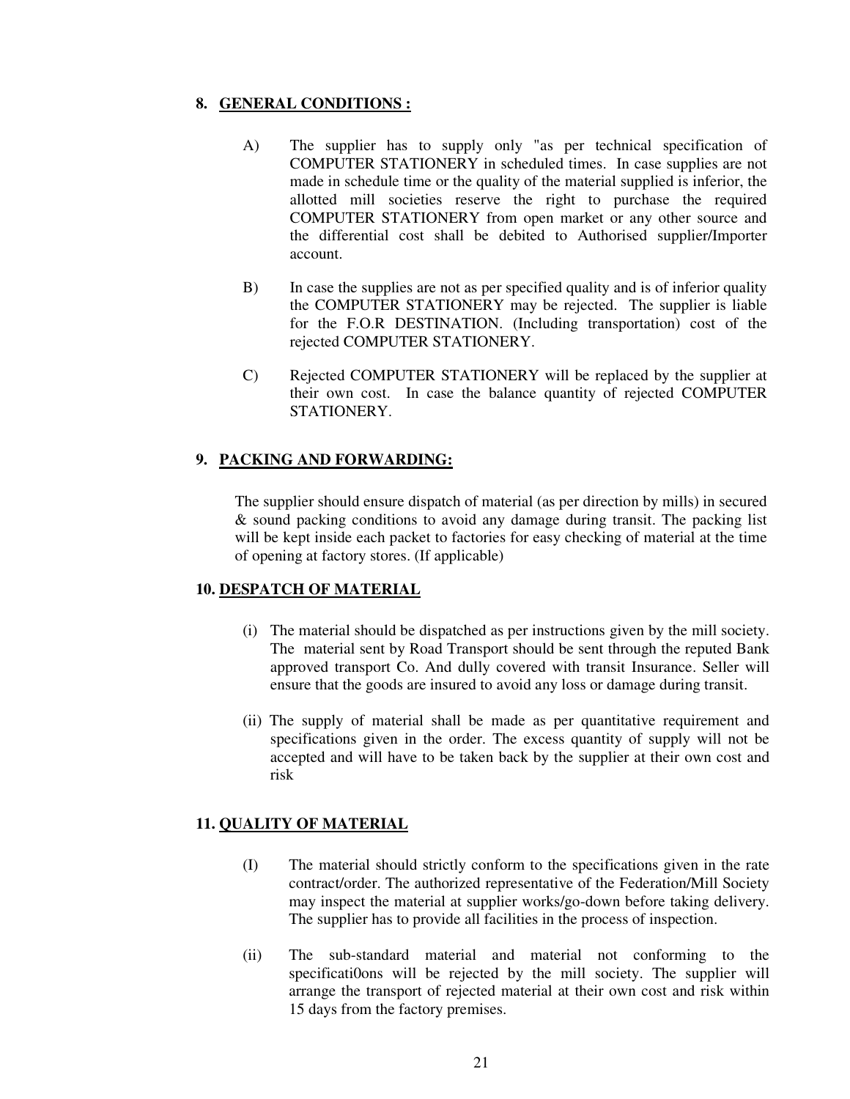## **8. GENERAL CONDITIONS :**

- A) The supplier has to supply only "as per technical specification of COMPUTER STATIONERY in scheduled times. In case supplies are not made in schedule time or the quality of the material supplied is inferior, the allotted mill societies reserve the right to purchase the required COMPUTER STATIONERY from open market or any other source and the differential cost shall be debited to Authorised supplier/Importer account.
- B) In case the supplies are not as per specified quality and is of inferior quality the COMPUTER STATIONERY may be rejected. The supplier is liable for the F.O.R DESTINATION. (Including transportation) cost of the rejected COMPUTER STATIONERY.
- C) Rejected COMPUTER STATIONERY will be replaced by the supplier at their own cost. In case the balance quantity of rejected COMPUTER STATIONERY.

## **9. PACKING AND FORWARDING:**

The supplier should ensure dispatch of material (as per direction by mills) in secured & sound packing conditions to avoid any damage during transit. The packing list will be kept inside each packet to factories for easy checking of material at the time of opening at factory stores. (If applicable)

## **10. DESPATCH OF MATERIAL**

- (i) The material should be dispatched as per instructions given by the mill society. The material sent by Road Transport should be sent through the reputed Bank approved transport Co. And dully covered with transit Insurance. Seller will ensure that the goods are insured to avoid any loss or damage during transit.
- (ii) The supply of material shall be made as per quantitative requirement and specifications given in the order. The excess quantity of supply will not be accepted and will have to be taken back by the supplier at their own cost and risk

## **11. QUALITY OF MATERIAL**

- (I) The material should strictly conform to the specifications given in the rate contract/order. The authorized representative of the Federation/Mill Society may inspect the material at supplier works/go-down before taking delivery. The supplier has to provide all facilities in the process of inspection.
- (ii) The sub-standard material and material not conforming to the specificati0ons will be rejected by the mill society. The supplier will arrange the transport of rejected material at their own cost and risk within 15 days from the factory premises.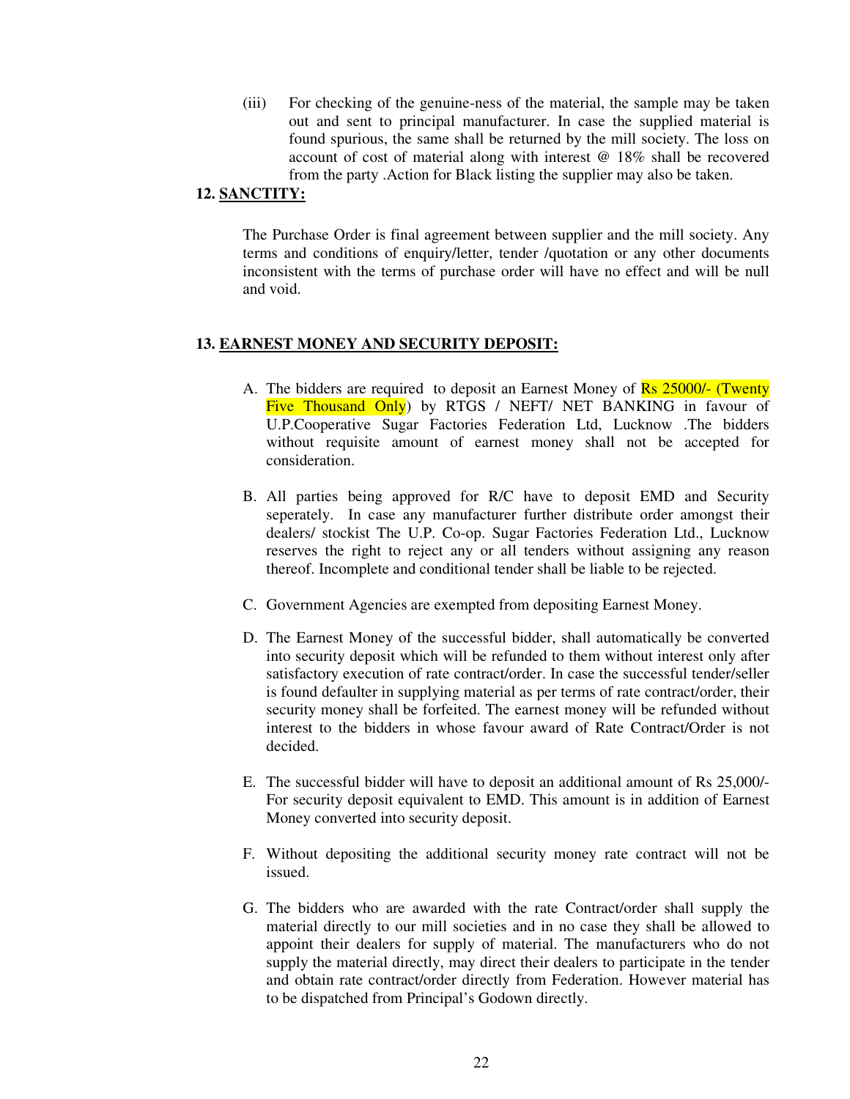(iii) For checking of the genuine-ness of the material, the sample may be taken out and sent to principal manufacturer. In case the supplied material is found spurious, the same shall be returned by the mill society. The loss on account of cost of material along with interest @ 18% shall be recovered from the party .Action for Black listing the supplier may also be taken.

### **12. SANCTITY:**

The Purchase Order is final agreement between supplier and the mill society. Any terms and conditions of enquiry/letter, tender /quotation or any other documents inconsistent with the terms of purchase order will have no effect and will be null and void.

#### **13. EARNEST MONEY AND SECURITY DEPOSIT:**

- A. The bidders are required to deposit an Earnest Money of Rs 25000/- (Twenty Five Thousand Only by RTGS / NEFT/ NET BANKING in favour of U.P.Cooperative Sugar Factories Federation Ltd, Lucknow .The bidders without requisite amount of earnest money shall not be accepted for consideration.
- B. All parties being approved for R/C have to deposit EMD and Security seperately. In case any manufacturer further distribute order amongst their dealers/ stockist The U.P. Co-op. Sugar Factories Federation Ltd., Lucknow reserves the right to reject any or all tenders without assigning any reason thereof. Incomplete and conditional tender shall be liable to be rejected.
- C. Government Agencies are exempted from depositing Earnest Money.
- D. The Earnest Money of the successful bidder, shall automatically be converted into security deposit which will be refunded to them without interest only after satisfactory execution of rate contract/order. In case the successful tender/seller is found defaulter in supplying material as per terms of rate contract/order, their security money shall be forfeited. The earnest money will be refunded without interest to the bidders in whose favour award of Rate Contract/Order is not decided.
- E. The successful bidder will have to deposit an additional amount of Rs 25,000/- For security deposit equivalent to EMD. This amount is in addition of Earnest Money converted into security deposit.
- F. Without depositing the additional security money rate contract will not be issued.
- G. The bidders who are awarded with the rate Contract/order shall supply the material directly to our mill societies and in no case they shall be allowed to appoint their dealers for supply of material. The manufacturers who do not supply the material directly, may direct their dealers to participate in the tender and obtain rate contract/order directly from Federation. However material has to be dispatched from Principal's Godown directly.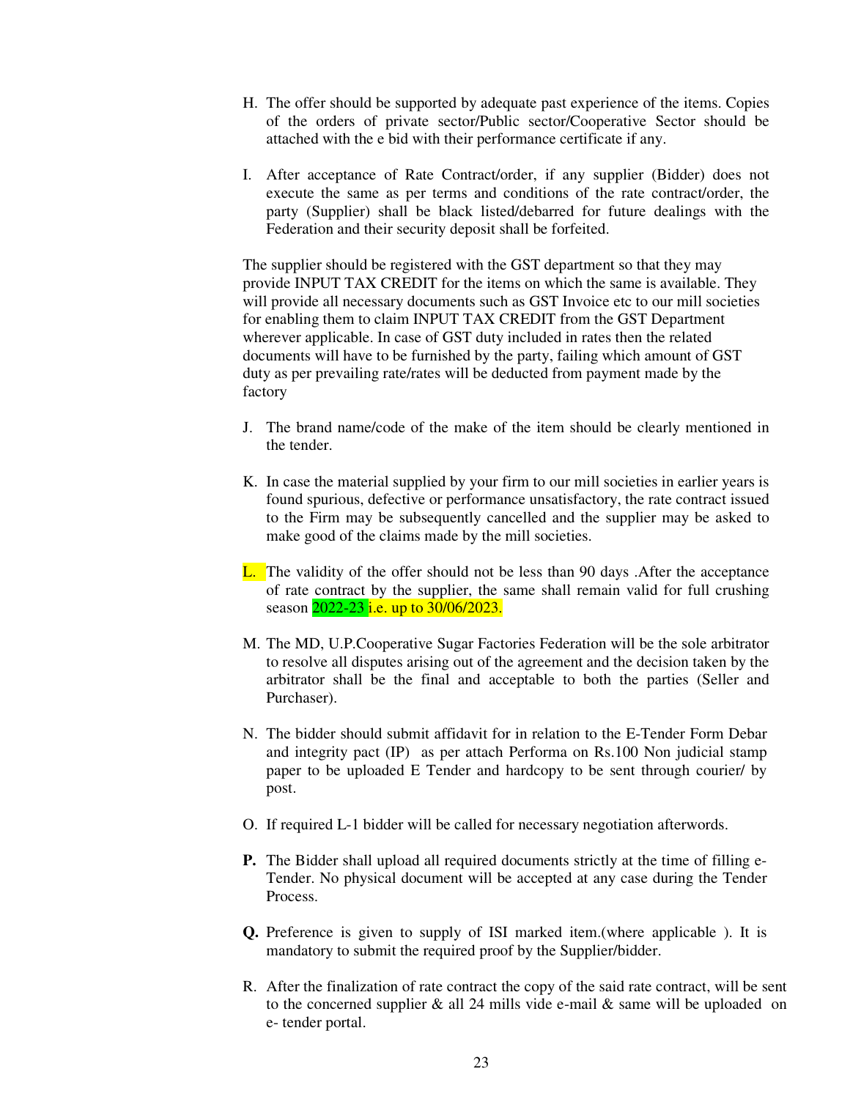- H. The offer should be supported by adequate past experience of the items. Copies of the orders of private sector/Public sector/Cooperative Sector should be attached with the e bid with their performance certificate if any.
- I. After acceptance of Rate Contract/order, if any supplier (Bidder) does not execute the same as per terms and conditions of the rate contract/order, the party (Supplier) shall be black listed/debarred for future dealings with the Federation and their security deposit shall be forfeited.

The supplier should be registered with the GST department so that they may provide INPUT TAX CREDIT for the items on which the same is available. They will provide all necessary documents such as GST Invoice etc to our mill societies for enabling them to claim INPUT TAX CREDIT from the GST Department wherever applicable. In case of GST duty included in rates then the related documents will have to be furnished by the party, failing which amount of GST duty as per prevailing rate/rates will be deducted from payment made by the factory

- J. The brand name/code of the make of the item should be clearly mentioned in the tender.
- K. In case the material supplied by your firm to our mill societies in earlier years is found spurious, defective or performance unsatisfactory, the rate contract issued to the Firm may be subsequently cancelled and the supplier may be asked to make good of the claims made by the mill societies.
- L. The validity of the offer should not be less than 90 days .After the acceptance of rate contract by the supplier, the same shall remain valid for full crushing season 2022-23 *i.e.* up to 30/06/2023.
- M. The MD, U.P.Cooperative Sugar Factories Federation will be the sole arbitrator to resolve all disputes arising out of the agreement and the decision taken by the arbitrator shall be the final and acceptable to both the parties (Seller and Purchaser).
- N. The bidder should submit affidavit for in relation to the E-Tender Form Debar and integrity pact (IP) as per attach Performa on Rs.100 Non judicial stamp paper to be uploaded E Tender and hardcopy to be sent through courier/ by post.
- O. If required L-1 bidder will be called for necessary negotiation afterwords.
- **P.** The Bidder shall upload all required documents strictly at the time of filling e-Tender. No physical document will be accepted at any case during the Tender Process.
- **Q.** Preference is given to supply of ISI marked item.(where applicable ). It is mandatory to submit the required proof by the Supplier/bidder.
- R. After the finalization of rate contract the copy of the said rate contract, will be sent to the concerned supplier  $\&$  all 24 mills vide e-mail  $\&$  same will be uploaded on e- tender portal.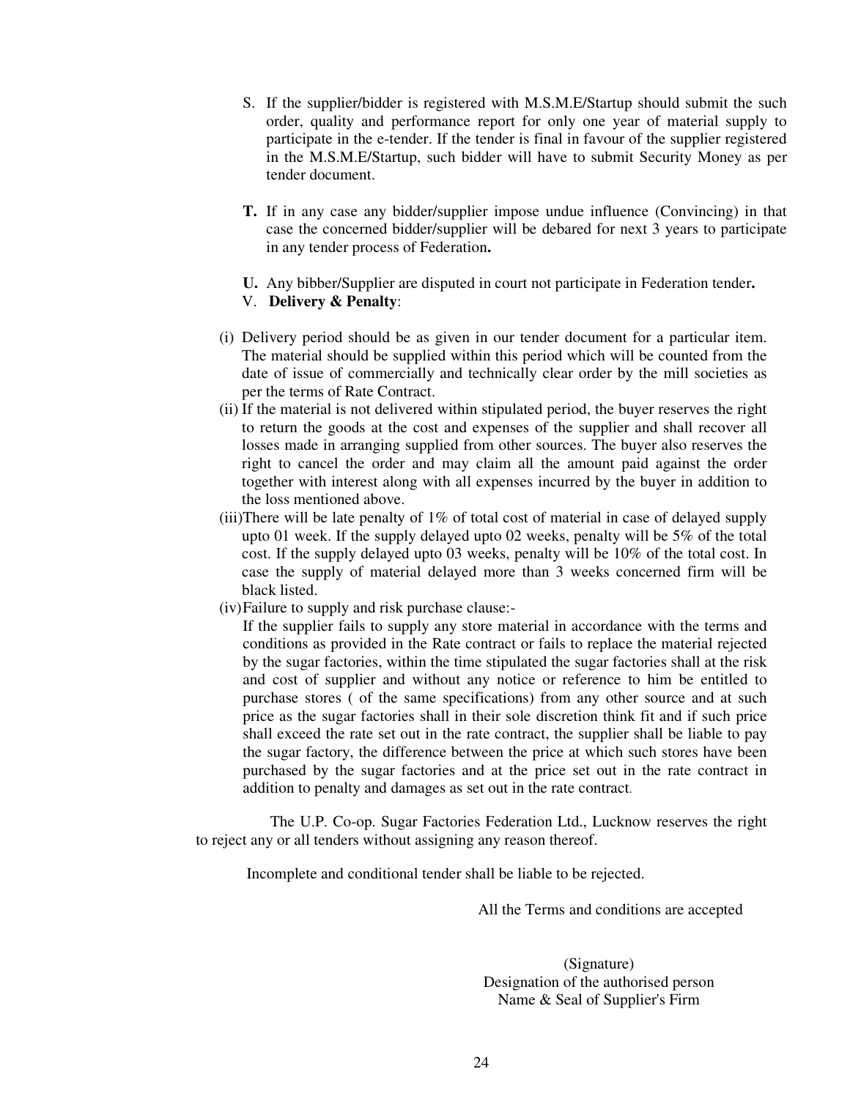- S. If the supplier/bidder is registered with M.S.M.E/Startup should submit the such order, quality and performance report for only one year of material supply to participate in the e-tender. If the tender is final in favour of the supplier registered in the M.S.M.E/Startup, such bidder will have to submit Security Money as per tender document.
- **T.** If in any case any bidder/supplier impose undue influence (Convincing) in that case the concerned bidder/supplier will be debared for next 3 years to participate in any tender process of Federation**.**
- **U.** Any bibber/Supplier are disputed in court not participate in Federation tender**.**

## V. **Delivery & Penalty**:

- (i) Delivery period should be as given in our tender document for a particular item. The material should be supplied within this period which will be counted from the date of issue of commercially and technically clear order by the mill societies as per the terms of Rate Contract.
- (ii) If the material is not delivered within stipulated period, the buyer reserves the right to return the goods at the cost and expenses of the supplier and shall recover all losses made in arranging supplied from other sources. The buyer also reserves the right to cancel the order and may claim all the amount paid against the order together with interest along with all expenses incurred by the buyer in addition to the loss mentioned above.
- (iii)There will be late penalty of 1% of total cost of material in case of delayed supply upto 01 week. If the supply delayed upto 02 weeks, penalty will be 5% of the total cost. If the supply delayed upto 03 weeks, penalty will be 10% of the total cost. In case the supply of material delayed more than 3 weeks concerned firm will be black listed.
- (iv)Failure to supply and risk purchase clause:-

 If the supplier fails to supply any store material in accordance with the terms and conditions as provided in the Rate contract or fails to replace the material rejected by the sugar factories, within the time stipulated the sugar factories shall at the risk and cost of supplier and without any notice or reference to him be entitled to purchase stores ( of the same specifications) from any other source and at such price as the sugar factories shall in their sole discretion think fit and if such price shall exceed the rate set out in the rate contract, the supplier shall be liable to pay the sugar factory, the difference between the price at which such stores have been purchased by the sugar factories and at the price set out in the rate contract in addition to penalty and damages as set out in the rate contract.

 The U.P. Co-op. Sugar Factories Federation Ltd., Lucknow reserves the right to reject any or all tenders without assigning any reason thereof.

Incomplete and conditional tender shall be liable to be rejected.

All the Terms and conditions are accepted

(Signature) Designation of the authorised person Name & Seal of Supplier's Firm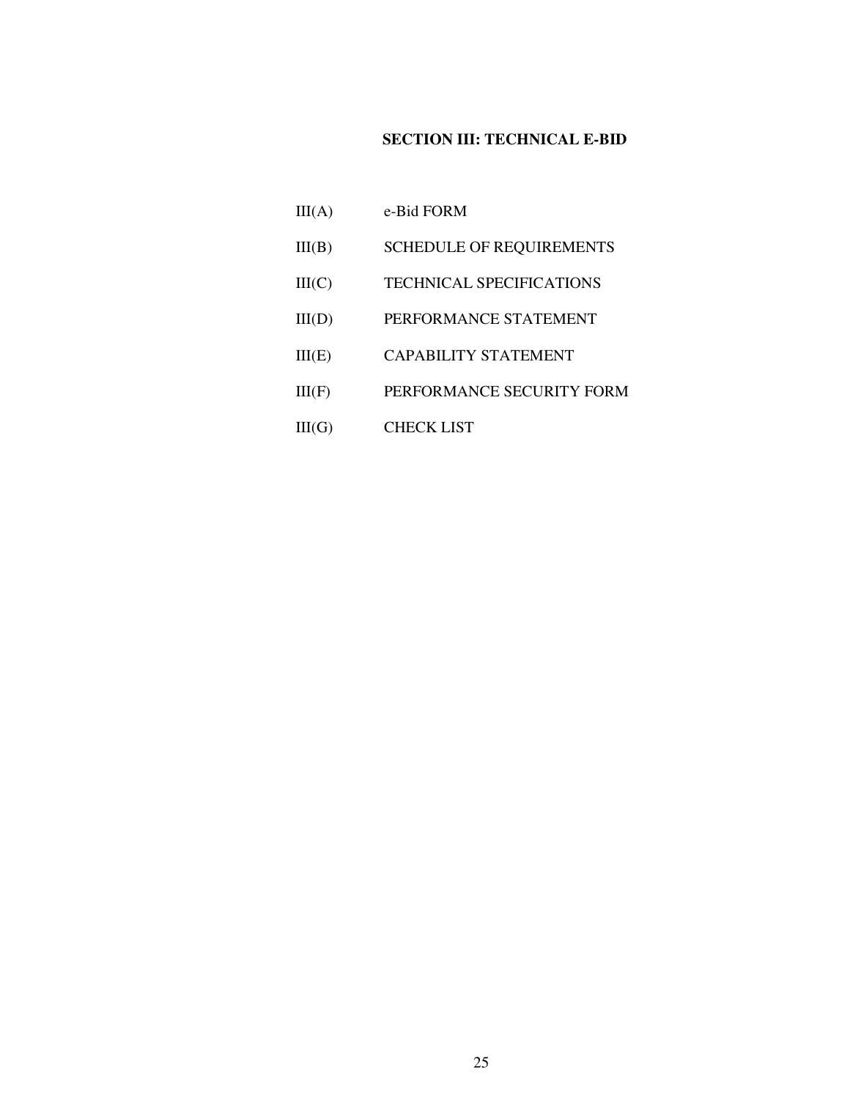# **SECTION III: TECHNICAL E-BID**

- III(A) e-Bid FORM III(B) SCHEDULE OF REQUIREMENTS
- III(C) TECHNICAL SPECIFICATIONS
- III(D) PERFORMANCE STATEMENT
- III(E) CAPABILITY STATEMENT
- III(F) PERFORMANCE SECURITY FORM
- III(G) CHECK LIST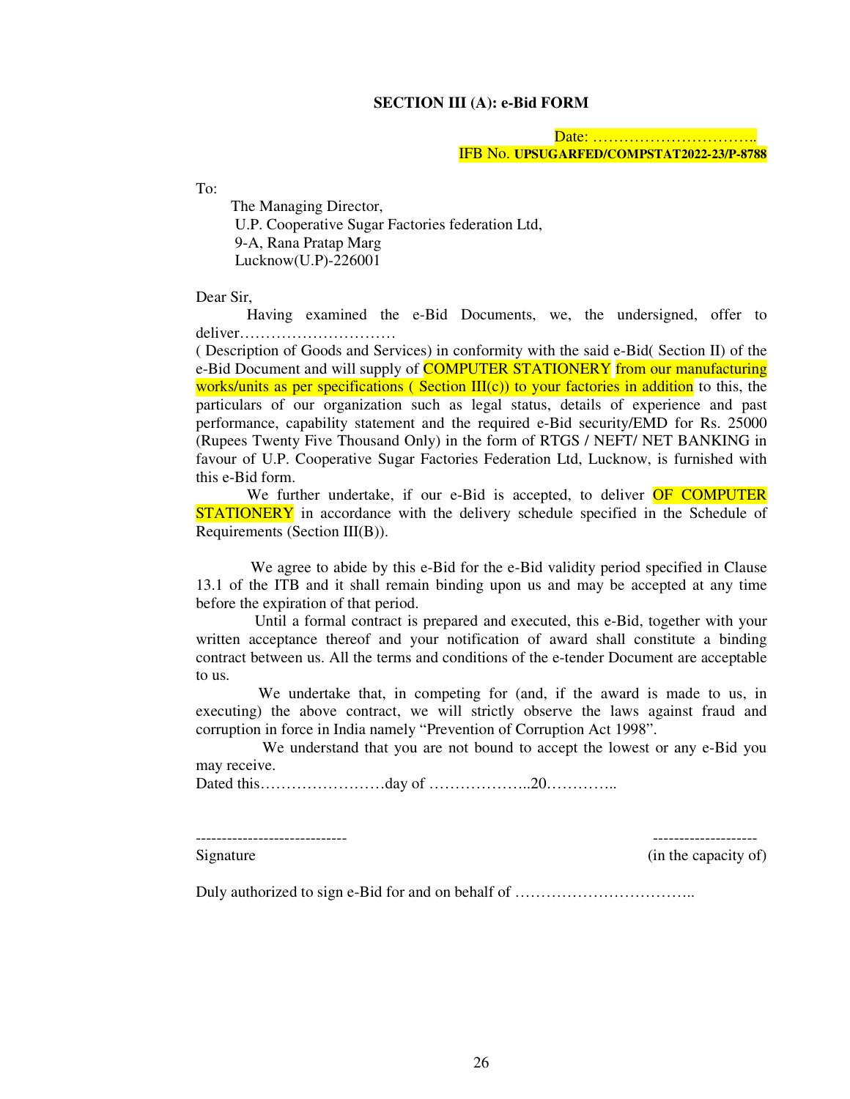#### **SECTION III (A): e-Bid FORM**

 Date: ………………………….. IFB No. **UPSUGARFED/COMPSTAT2022-23/P-8788**

To:

 The Managing Director, U.P. Cooperative Sugar Factories federation Ltd, 9-A, Rana Pratap Marg Lucknow(U.P)-226001

Dear Sir,

 Having examined the e-Bid Documents, we, the undersigned, offer to deliver…………………………

( Description of Goods and Services) in conformity with the said e-Bid( Section II) of the e-Bid Document and will supply of **COMPUTER STATIONERY** from our manufacturing works/units as per specifications ( Section  $III(c)$ ) to your factories in addition to this, the particulars of our organization such as legal status, details of experience and past performance, capability statement and the required e-Bid security/EMD for Rs. 25000 (Rupees Twenty Five Thousand Only) in the form of RTGS / NEFT/ NET BANKING in favour of U.P. Cooperative Sugar Factories Federation Ltd, Lucknow, is furnished with this e-Bid form.

We further undertake, if our e-Bid is accepted, to deliver OF COMPUTER **STATIONERY** in accordance with the delivery schedule specified in the Schedule of Requirements (Section III(B)).

 We agree to abide by this e-Bid for the e-Bid validity period specified in Clause 13.1 of the ITB and it shall remain binding upon us and may be accepted at any time before the expiration of that period.

 Until a formal contract is prepared and executed, this e-Bid, together with your written acceptance thereof and your notification of award shall constitute a binding contract between us. All the terms and conditions of the e-tender Document are acceptable to us.

 We undertake that, in competing for (and, if the award is made to us, in executing) the above contract, we will strictly observe the laws against fraud and corruption in force in India namely "Prevention of Corruption Act 1998".

 We understand that you are not bound to accept the lowest or any e-Bid you may receive.

Dated this……………………day of ………………..20…………..

----------------------------- --------------------

Signature (in the capacity of)

Duly authorized to sign e-Bid for and on behalf of ……………………………..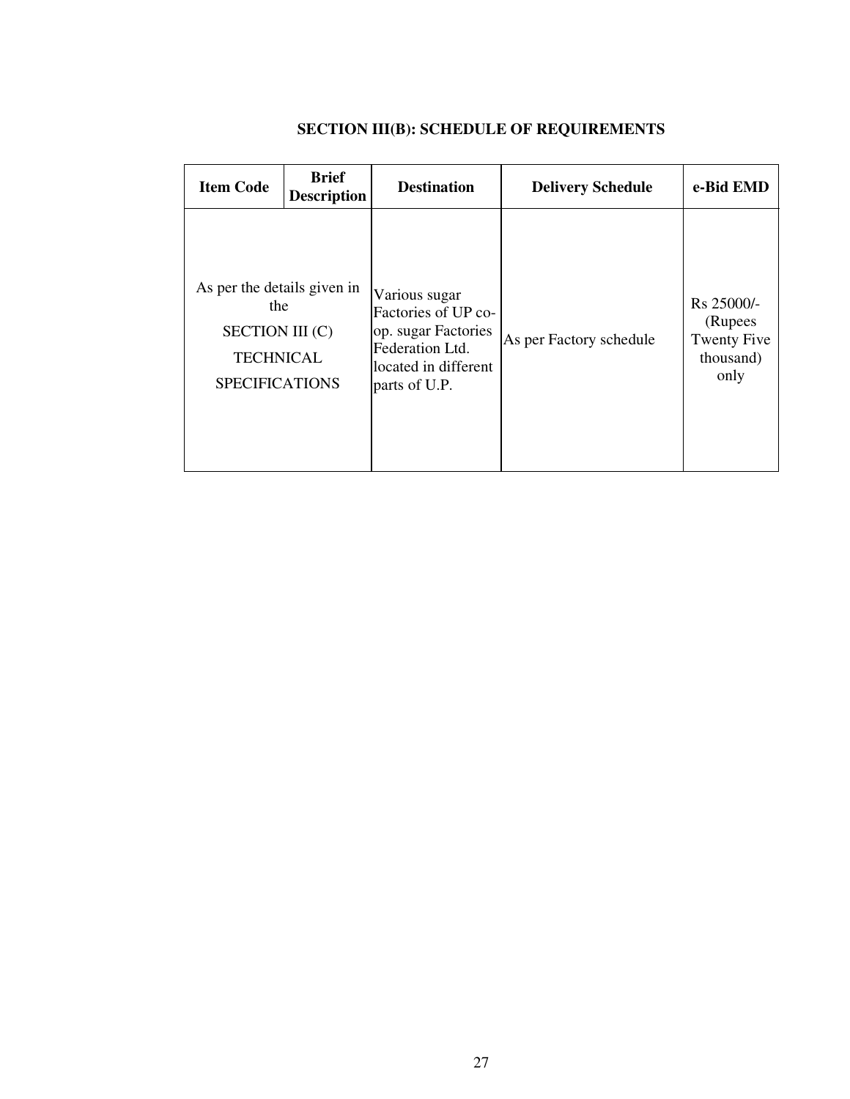| <b>Item Code</b>                                                                                          | <b>Brief</b><br><b>Description</b> | <b>Destination</b>                                                                                                      | <b>Delivery Schedule</b> | e-Bid EMD                                                          |
|-----------------------------------------------------------------------------------------------------------|------------------------------------|-------------------------------------------------------------------------------------------------------------------------|--------------------------|--------------------------------------------------------------------|
| As per the details given in<br>the<br><b>SECTION III (C)</b><br><b>TECHNICAL</b><br><b>SPECIFICATIONS</b> |                                    | Various sugar<br>Factories of UP co-<br>op. sugar Factories<br>Federation Ltd.<br>located in different<br>parts of U.P. | As per Factory schedule  | $Rs 25000/-$<br>(Rupees<br><b>Twenty Five</b><br>thousand)<br>only |

# **SECTION III(B): SCHEDULE OF REQUIREMENTS**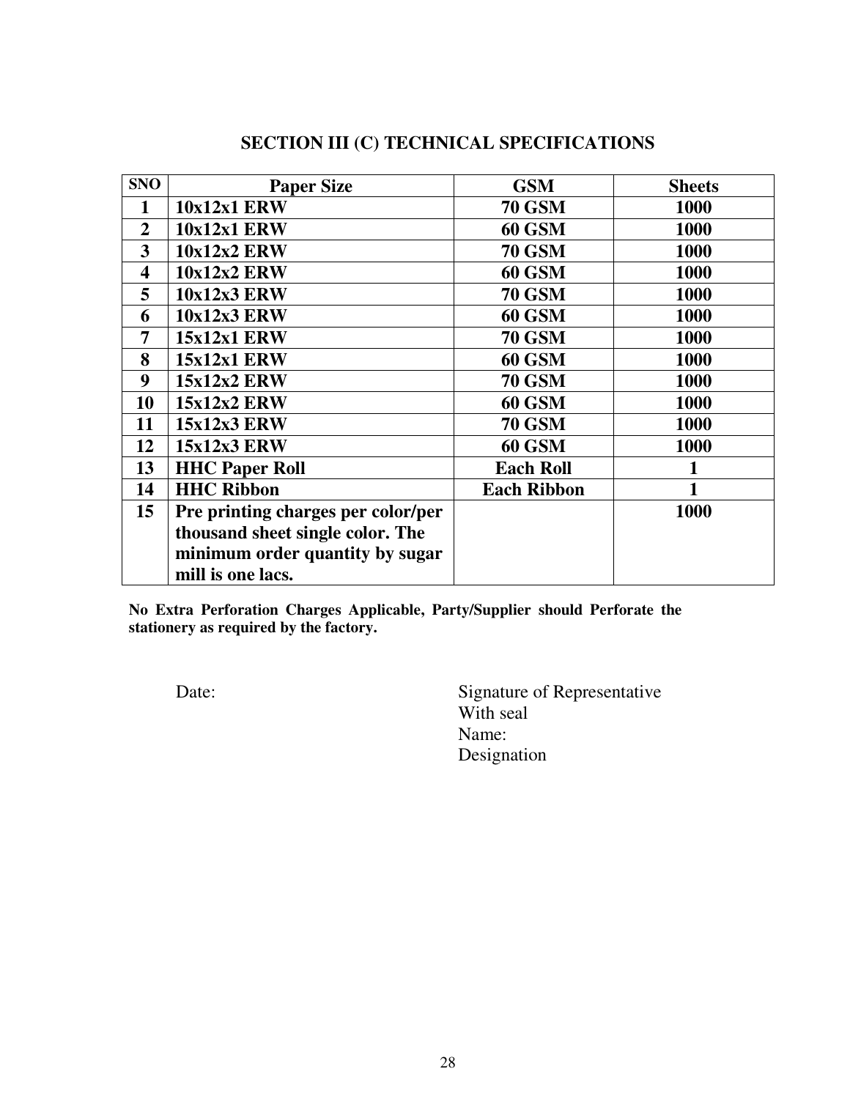| <b>SNO</b>              | <b>Paper Size</b>                  | <b>GSM</b>         | <b>Sheets</b> |
|-------------------------|------------------------------------|--------------------|---------------|
| $\mathbf{1}$            | <b>10x12x1 ERW</b>                 | <b>70 GSM</b>      | 1000          |
| $\overline{2}$          | <b>10x12x1 ERW</b>                 | <b>60 GSM</b>      | 1000          |
| 3                       | <b>10x12x2 ERW</b>                 | <b>70 GSM</b>      | 1000          |
| $\overline{\mathbf{4}}$ | <b>10x12x2 ERW</b>                 | <b>60 GSM</b>      | 1000          |
| 5                       | <b>10x12x3 ERW</b>                 | <b>70 GSM</b>      | 1000          |
| 6                       | <b>10x12x3 ERW</b>                 | <b>60 GSM</b>      | 1000          |
| 7                       | $15x12x1$ ERW                      | <b>70 GSM</b>      | 1000          |
| 8                       | $15x12x1$ ERW                      | <b>60 GSM</b>      | 1000          |
| 9                       | 15x12x2 ERW                        | <b>70 GSM</b>      | 1000          |
| 10                      | 15x12x2 ERW                        | <b>60 GSM</b>      | 1000          |
| 11                      | <b>15x12x3 ERW</b>                 | <b>70 GSM</b>      | 1000          |
| 12                      | <b>15x12x3 ERW</b>                 | <b>60 GSM</b>      | 1000          |
| 13                      | <b>HHC Paper Roll</b>              | <b>Each Roll</b>   |               |
| 14                      | <b>HHC Ribbon</b>                  | <b>Each Ribbon</b> |               |
| 15                      | Pre printing charges per color/per |                    | 1000          |
|                         | thousand sheet single color. The   |                    |               |
|                         | minimum order quantity by sugar    |                    |               |
|                         | mill is one lacs.                  |                    |               |

# **SECTION III (C) TECHNICAL SPECIFICATIONS**

**No Extra Perforation Charges Applicable, Party/Supplier should Perforate the stationery as required by the factory.** 

Date: Signature of Representative With seal Name: Designation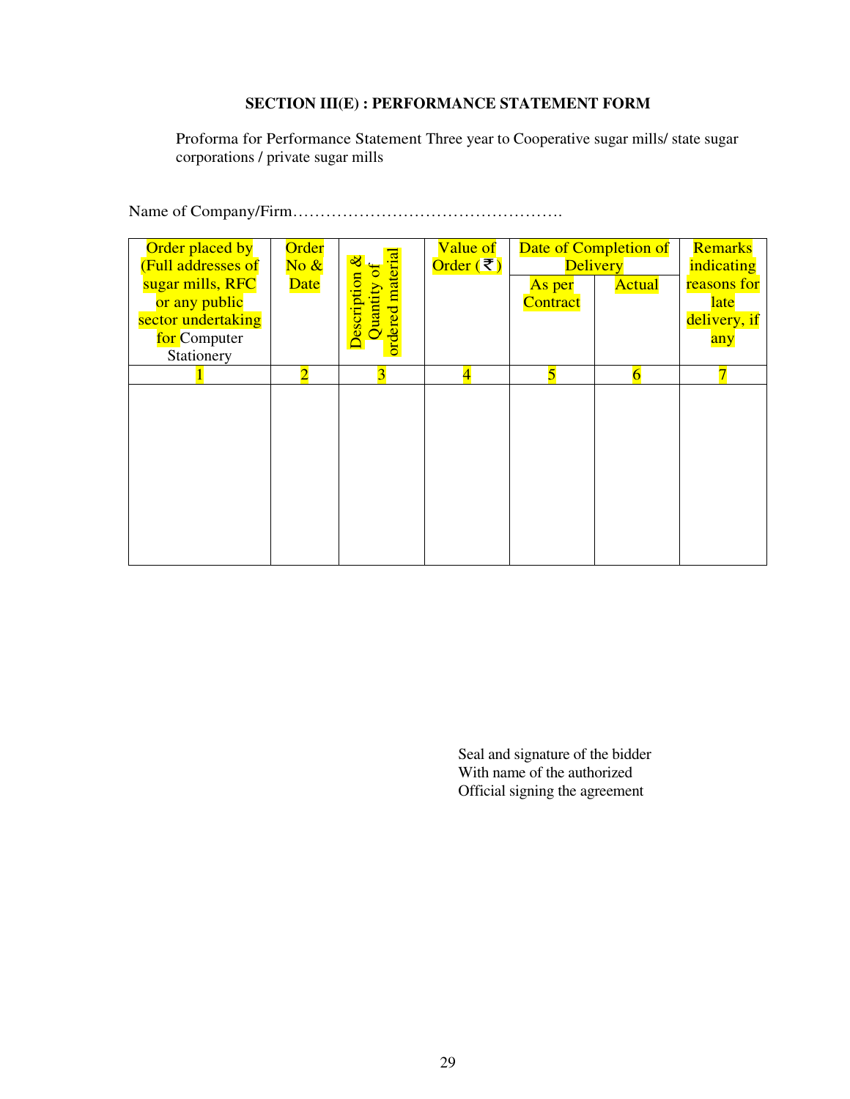## **SECTION III(E) : PERFORMANCE STATEMENT FORM**

Proforma for Performance Statement Three year to Cooperative sugar mills/ state sugar corporations / private sugar mills

Name of Company/Firm………………………………………….

| Order placed by<br>(Full addresses of<br>sugar mills, RFC<br>or any public<br>sector undertaking<br>for Computer<br>Stationery | Order<br>$\overline{\text{No } \&}$<br><b>Date</b> | ordered materia<br>$\infty$<br>Description<br>Quantity | Value of<br>Order (₹)   | As per<br>Contract | Date of Completion of<br><b>Delivery</b><br><b>Actual</b> | <b>Remarks</b><br>indicating<br>reasons for<br><b>late</b><br>delivery, if<br>any |
|--------------------------------------------------------------------------------------------------------------------------------|----------------------------------------------------|--------------------------------------------------------|-------------------------|--------------------|-----------------------------------------------------------|-----------------------------------------------------------------------------------|
|                                                                                                                                | $\overline{2}$                                     | 3                                                      | $\overline{\mathbf{4}}$ | 5                  | 6                                                         | $\overline{7}$                                                                    |
|                                                                                                                                |                                                    |                                                        |                         |                    |                                                           |                                                                                   |
|                                                                                                                                |                                                    |                                                        |                         |                    |                                                           |                                                                                   |

Seal and signature of the bidder With name of the authorized Official signing the agreement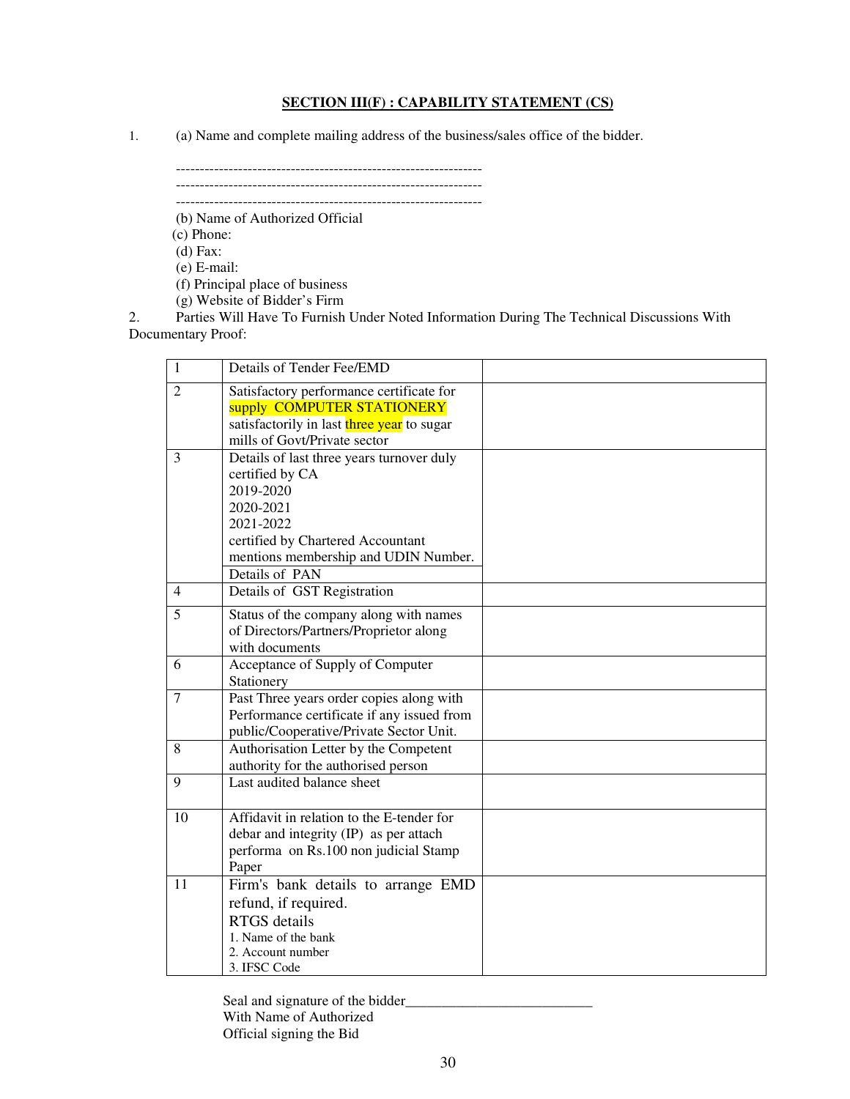#### **SECTION III(F) : CAPABILITY STATEMENT (CS)**

1. (a) Name and complete mailing address of the business/sales office of the bidder.

----------------------------------------------------------------

----------------------------------------------------------------

----------------------------------------------------------------

(b) Name of Authorized Official

 (c) Phone: (d) Fax:

(e) E-mail:

(f) Principal place of business

(g) Website of Bidder's Firm

2. Parties Will Have To Furnish Under Noted Information During The Technical Discussions With Documentary Proof:

| 1              | Details of Tender Fee/EMD                                                                                                                                                                          |  |
|----------------|----------------------------------------------------------------------------------------------------------------------------------------------------------------------------------------------------|--|
| $\overline{2}$ | Satisfactory performance certificate for<br>supply COMPUTER STATIONERY<br>satisfactorily in last three year to sugar<br>mills of Govt/Private sector                                               |  |
| 3              | Details of last three years turnover duly<br>certified by CA<br>2019-2020<br>2020-2021<br>2021-2022<br>certified by Chartered Accountant<br>mentions membership and UDIN Number.<br>Details of PAN |  |
| $\overline{4}$ | Details of GST Registration                                                                                                                                                                        |  |
| 5              | Status of the company along with names<br>of Directors/Partners/Proprietor along<br>with documents                                                                                                 |  |
| 6              | Acceptance of Supply of Computer<br>Stationery                                                                                                                                                     |  |
| 7              | Past Three years order copies along with<br>Performance certificate if any issued from<br>public/Cooperative/Private Sector Unit.                                                                  |  |
| 8              | Authorisation Letter by the Competent<br>authority for the authorised person                                                                                                                       |  |
| 9              | Last audited balance sheet                                                                                                                                                                         |  |
| 10             | Affidavit in relation to the E-tender for<br>debar and integrity (IP) as per attach<br>performa on Rs.100 non judicial Stamp<br>Paper                                                              |  |
| 11             | Firm's bank details to arrange EMD<br>refund, if required.<br><b>RTGS</b> details<br>1. Name of the bank<br>2. Account number<br>3. IFSC Code                                                      |  |

Seal and signature of the bidder\_\_\_\_\_\_\_\_\_\_\_\_\_\_\_\_\_\_\_\_\_\_\_\_\_\_ With Name of Authorized Official signing the Bid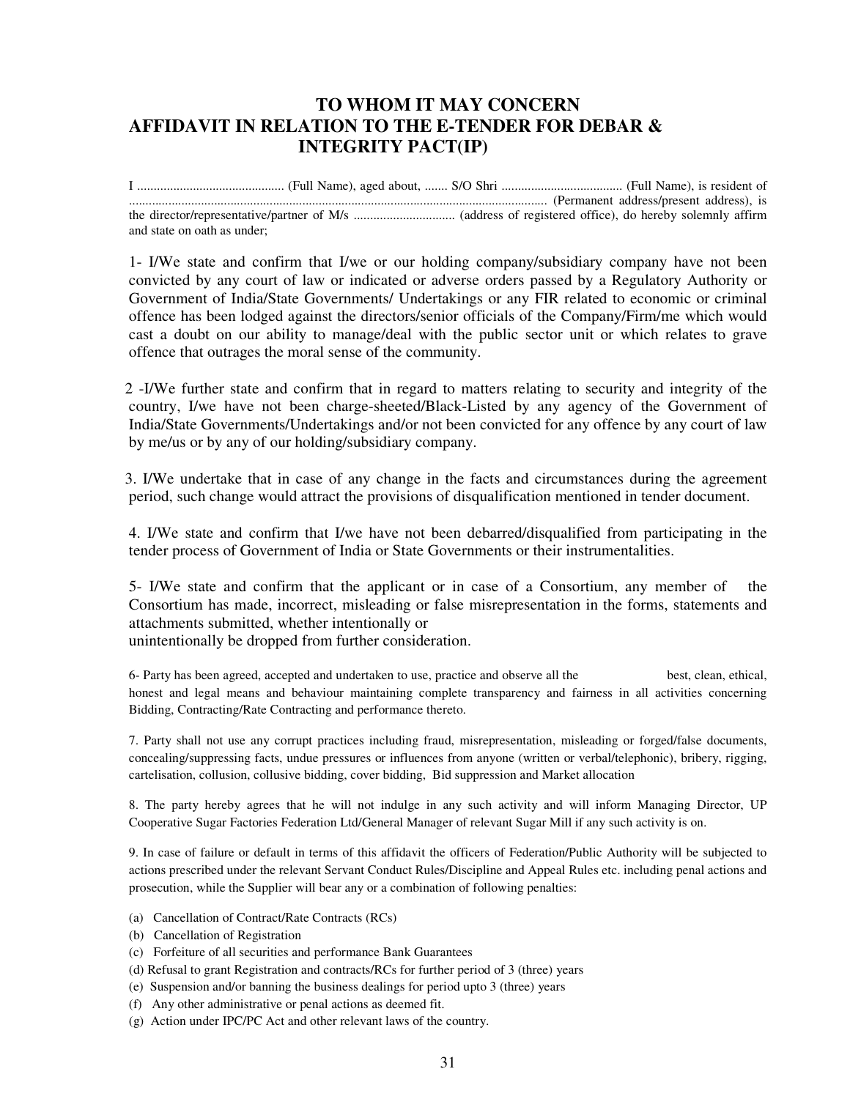# **TO WHOM IT MAY CONCERN AFFIDAVIT IN RELATION TO THE E-TENDER FOR DEBAR & INTEGRITY PACT(IP)**

I ............................................. (Full Name), aged about, ....... S/O Shri ..................................... (Full Name), is resident of ................................................................................................................................ (Permanent address/present address), is the director/representative/partner of M/s ............................... (address of registered office), do hereby solemnly affirm and state on oath as under;

1- I/We state and confirm that I/we or our holding company/subsidiary company have not been convicted by any court of law or indicated or adverse orders passed by a Regulatory Authority or Government of India/State Governments/ Undertakings or any FIR related to economic or criminal offence has been lodged against the directors/senior officials of the Company/Firm/me which would cast a doubt on our ability to manage/deal with the public sector unit or which relates to grave offence that outrages the moral sense of the community.

 2 -I/We further state and confirm that in regard to matters relating to security and integrity of the country, I/we have not been charge-sheeted/Black-Listed by any agency of the Government of India/State Governments/Undertakings and/or not been convicted for any offence by any court of law by me/us or by any of our holding/subsidiary company.

 3. I/We undertake that in case of any change in the facts and circumstances during the agreement period, such change would attract the provisions of disqualification mentioned in tender document.

 4. I/We state and confirm that I/we have not been debarred/disqualified from participating in the tender process of Government of India or State Governments or their instrumentalities.

5- I/We state and confirm that the applicant or in case of a Consortium, any member of the Consortium has made, incorrect, misleading or false misrepresentation in the forms, statements and attachments submitted, whether intentionally or

unintentionally be dropped from further consideration.

6- Party has been agreed, accepted and undertaken to use, practice and observe all the best, clean, ethical, honest and legal means and behaviour maintaining complete transparency and fairness in all activities concerning Bidding, Contracting/Rate Contracting and performance thereto.

7. Party shall not use any corrupt practices including fraud, misrepresentation, misleading or forged/false documents, concealing/suppressing facts, undue pressures or influences from anyone (written or verbal/telephonic), bribery, rigging, cartelisation, collusion, collusive bidding, cover bidding, Bid suppression and Market allocation

8. The party hereby agrees that he will not indulge in any such activity and will inform Managing Director, UP Cooperative Sugar Factories Federation Ltd/General Manager of relevant Sugar Mill if any such activity is on.

9. In case of failure or default in terms of this affidavit the officers of Federation/Public Authority will be subjected to actions prescribed under the relevant Servant Conduct Rules/Discipline and Appeal Rules etc. including penal actions and prosecution, while the Supplier will bear any or a combination of following penalties:

- (a) Cancellation of Contract/Rate Contracts (RCs)
- (b) Cancellation of Registration
- (c) Forfeiture of all securities and performance Bank Guarantees
- (d) Refusal to grant Registration and contracts/RCs for further period of 3 (three) years
- (e) Suspension and/or banning the business dealings for period upto 3 (three) years
- (f) Any other administrative or penal actions as deemed fit.
- (g) Action under IPC/PC Act and other relevant laws of the country.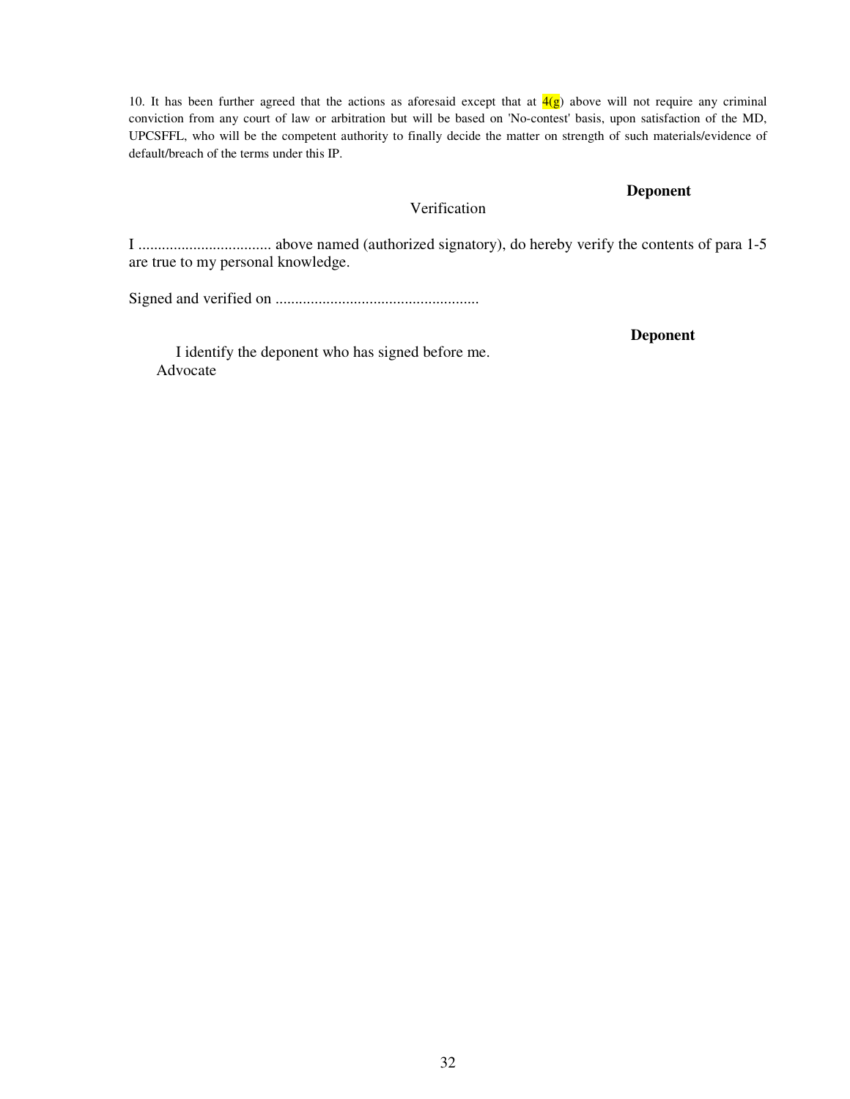10. It has been further agreed that the actions as aforesaid except that at  $\frac{4(g)}{g}$  above will not require any criminal conviction from any court of law or arbitration but will be based on 'No-contest' basis, upon satisfaction of the MD, UPCSFFL, who will be the competent authority to finally decide the matter on strength of such materials/evidence of default/breach of the terms under this IP.

## **Deponent**

# Verification

I .................................. above named (authorized signatory), do hereby verify the contents of para 1-5 are true to my personal knowledge.

Signed and verified on ....................................................

**Deponent** 

I identify the deponent who has signed before me. Advocate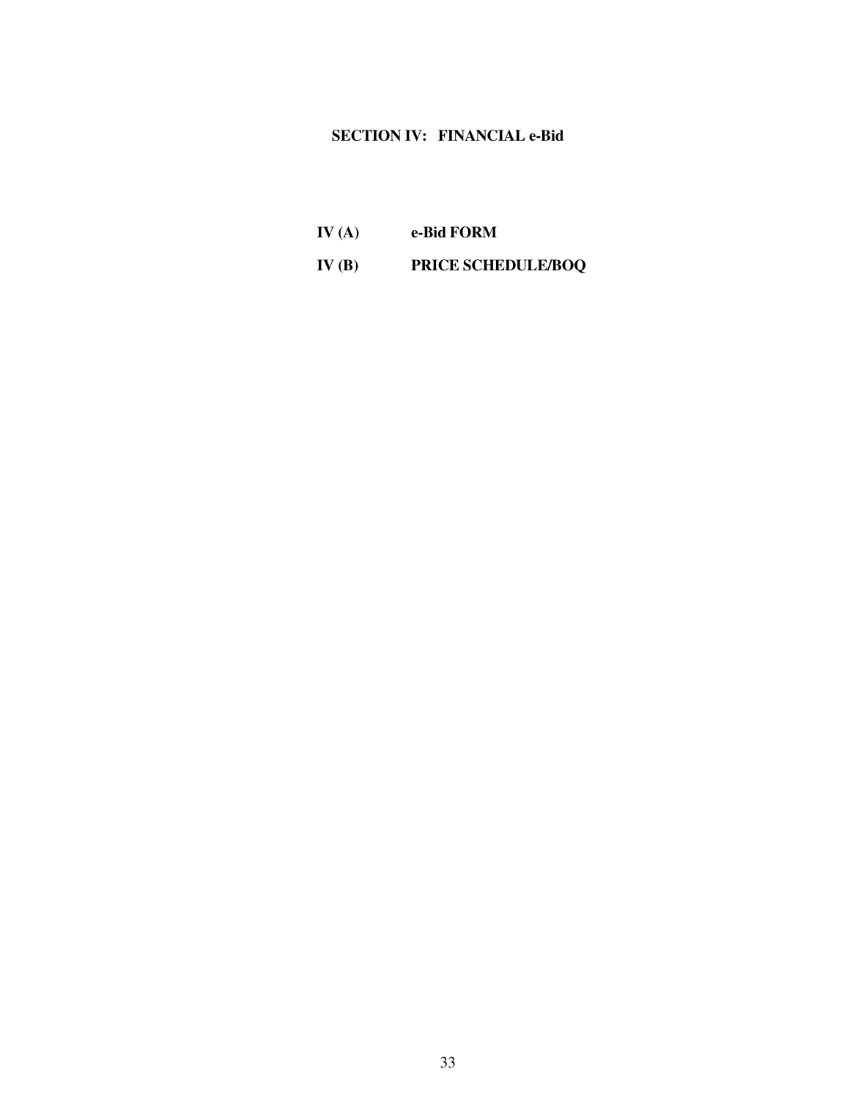# **SECTION IV: FINANCIAL e-Bid**

**IV (A) e-Bid FORM IV (B) PRICE SCHEDULE/BOQ**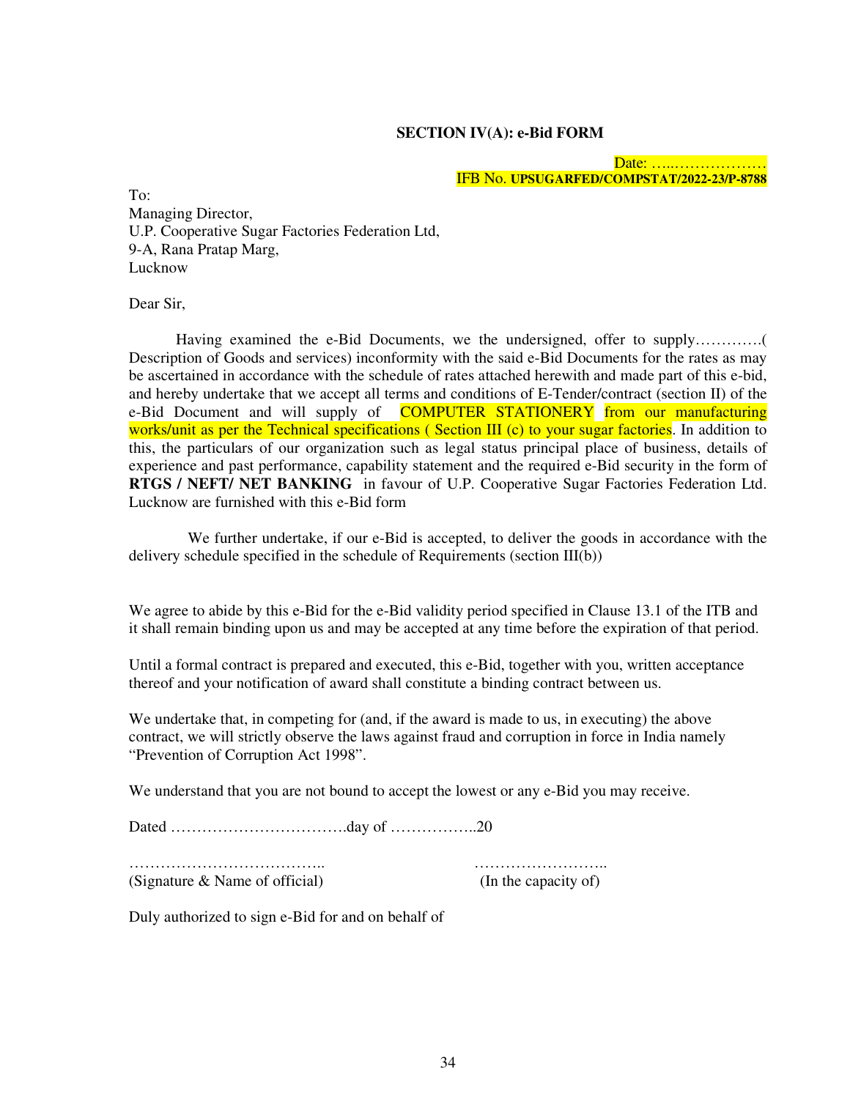#### **SECTION IV(A): e-Bid FORM**

#### Date: ………………… IFB No. **UPSUGARFED/COMPSTAT/2022-23/P-8788**

To: Managing Director, U.P. Cooperative Sugar Factories Federation Ltd, 9-A, Rana Pratap Marg, Lucknow

Dear Sir,

 Having examined the e-Bid Documents, we the undersigned, offer to supply………….( Description of Goods and services) inconformity with the said e-Bid Documents for the rates as may be ascertained in accordance with the schedule of rates attached herewith and made part of this e-bid, and hereby undertake that we accept all terms and conditions of E-Tender/contract (section II) of the e-Bid Document and will supply of **COMPUTER STATIONERY** from our manufacturing works/unit as per the Technical specifications (Section III (c) to your sugar factories. In addition to this, the particulars of our organization such as legal status principal place of business, details of experience and past performance, capability statement and the required e-Bid security in the form of **RTGS / NEFT/ NET BANKING** in favour of U.P. Cooperative Sugar Factories Federation Ltd. Lucknow are furnished with this e-Bid form

 We further undertake, if our e-Bid is accepted, to deliver the goods in accordance with the delivery schedule specified in the schedule of Requirements (section III(b))

We agree to abide by this e-Bid for the e-Bid validity period specified in Clause 13.1 of the ITB and it shall remain binding upon us and may be accepted at any time before the expiration of that period.

Until a formal contract is prepared and executed, this e-Bid, together with you, written acceptance thereof and your notification of award shall constitute a binding contract between us.

We undertake that, in competing for (and, if the award is made to us, in executing) the above contract, we will strictly observe the laws against fraud and corruption in force in India namely "Prevention of Corruption Act 1998".

We understand that you are not bound to accept the lowest or any e-Bid you may receive.

Dated …………………………….day of ……………..20

……………………………….. ……………………..

(Signature & Name of official) (In the capacity of)

Duly authorized to sign e-Bid for and on behalf of